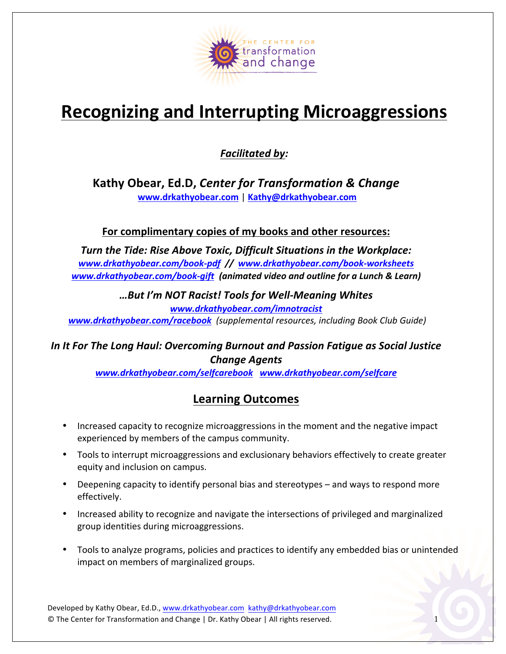

## **Recognizing and Interrupting Microaggressions**

**Facilitated by:** 

Kathy Obear, Ed.D, Center for Transformation & Change **www.drkathyobear.com** | **Kathy@drkathyobear.com**

For complimentary copies of my books and other resources:

**Turn the Tide: Rise Above Toxic, Difficult Situations in the Workplace:** www.drkathyobear.com/book-pdf // www.drkathyobear.com/book-worksheets *www.drkathyobear.com/book-gift (animated video and outline for a Lunch & Learn)*

> *…But I'm NOT Racist! Tools for Well-Meaning Whites* www.drkathyobear.com/imnotracist

**www.drkathyobear.com/racebook** (supplemental resources, including Book Club Guide)

#### In It For The Long Haul: Overcoming Burnout and Passion Fatigue as Social Justice *Change Agents*

*www.drkathyobear.com/selfcarebook www.drkathyobear.com/selfcare*

### **Learning Outcomes**

- Increased capacity to recognize microaggressions in the moment and the negative impact experienced by members of the campus community.
- Tools to interrupt microaggressions and exclusionary behaviors effectively to create greater equity and inclusion on campus.
- Deepening capacity to identify personal bias and stereotypes and ways to respond more effectively.
- Increased ability to recognize and navigate the intersections of privileged and marginalized group identities during microaggressions.
- Tools to analyze programs, policies and practices to identify any embedded bias or unintended impact on members of marginalized groups.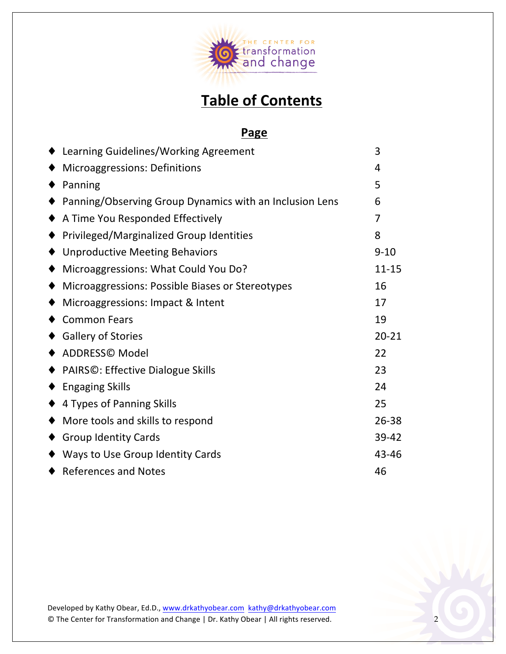

## **Table of Contents**

#### **Page**

| ♦ Learning Guidelines/Working Agreement                 | 3         |
|---------------------------------------------------------|-----------|
| <b>Microaggressions: Definitions</b>                    | 4         |
| Panning                                                 | 5         |
| Panning/Observing Group Dynamics with an Inclusion Lens | 6         |
| A Time You Responded Effectively                        | 7         |
| Privileged/Marginalized Group Identities                | 8         |
| <b>Unproductive Meeting Behaviors</b>                   | $9 - 10$  |
| Microaggressions: What Could You Do?                    | $11 - 15$ |
| Microaggressions: Possible Biases or Stereotypes        | 16        |
| Microaggressions: Impact & Intent                       | 17        |
| <b>Common Fears</b>                                     | 19        |
| <b>Gallery of Stories</b>                               | $20 - 21$ |
| ADDRESS© Model                                          | 22        |
| ◆ PAIRS©: Effective Dialogue Skills                     | 23        |
| <b>Engaging Skills</b>                                  | 24        |
| ♦ 4 Types of Panning Skills                             | 25        |
| More tools and skills to respond                        | 26-38     |
| <b>Group Identity Cards</b>                             | 39-42     |
| ◆ Ways to Use Group Identity Cards                      | 43-46     |
| ♦ References and Notes                                  | 46        |
|                                                         |           |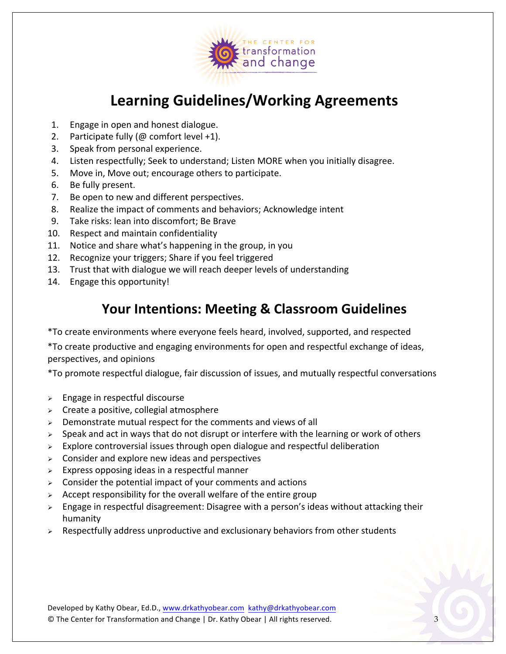

## **Learning Guidelines/Working Agreements**

- 1. Engage in open and honest dialogue.
- 2. Participate fully  $(\omega$  comfort level +1).
- 3. Speak from personal experience.
- 4. Listen respectfully; Seek to understand; Listen MORE when you initially disagree.
- 5. Move in, Move out; encourage others to participate.
- 6. Be fully present.
- 7. Be open to new and different perspectives.
- 8. Realize the impact of comments and behaviors; Acknowledge intent
- 9. Take risks: lean into discomfort; Be Brave
- 10. Respect and maintain confidentiality
- 11. Notice and share what's happening in the group, in you
- 12. Recognize your triggers; Share if you feel triggered
- 13. Trust that with dialogue we will reach deeper levels of understanding
- 14. Engage this opportunity!

### **Your Intentions: Meeting & Classroom Guidelines**

\*To create environments where everyone feels heard, involved, supported, and respected

\*To create productive and engaging environments for open and respectful exchange of ideas, perspectives, and opinions

\*To promote respectful dialogue, fair discussion of issues, and mutually respectful conversations

- $\geq$  Engage in respectful discourse
- $\triangleright$  Create a positive, collegial atmosphere
- $\triangleright$  Demonstrate mutual respect for the comments and views of all
- $\geq$  Speak and act in ways that do not disrupt or interfere with the learning or work of others
- $\geq$  Explore controversial issues through open dialogue and respectful deliberation
- $\triangleright$  Consider and explore new ideas and perspectives
- $\triangleright$  Express opposing ideas in a respectful manner
- $\triangleright$  Consider the potential impact of your comments and actions
- $\triangleright$  Accept responsibility for the overall welfare of the entire group
- $\triangleright$  Engage in respectful disagreement: Disagree with a person's ideas without attacking their humanity
- $\triangleright$  Respectfully address unproductive and exclusionary behaviors from other students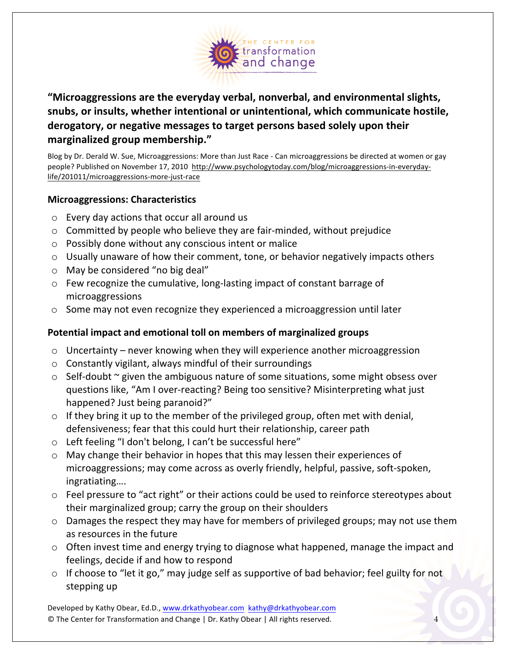

"Microaggressions are the everyday verbal, nonverbal, and environmental slights, snubs, or insults, whether intentional or unintentional, which communicate hostile, derogatory, or negative messages to target persons based solely upon their **marginalized group membership."**

Blog by Dr. Derald W. Sue, Microaggressions: More than Just Race - Can microaggressions be directed at women or gay people? Published on November 17, 2010 http://www.psychologytoday.com/blog/microaggressions-in-everydaylife/201011/microaggressions-more-just-race

#### **Microaggressions: Characteristics**

- $\circ$  Every day actions that occur all around us
- $\circ$  Committed by people who believe they are fair-minded, without prejudice
- $\circ$  Possibly done without any conscious intent or malice
- $\circ$  Usually unaware of how their comment, tone, or behavior negatively impacts others
- $\circ$  May be considered "no big deal"
- $\circ$  Few recognize the cumulative, long-lasting impact of constant barrage of microaggressions
- $\circ$  Some may not even recognize they experienced a microaggression until later

#### Potential impact and emotional toll on members of marginalized groups

- $\circ$  Uncertainty never knowing when they will experience another microaggression
- $\circ$  Constantly vigilant, always mindful of their surroundings
- $\circ$  Self-doubt  $\sim$  given the ambiguous nature of some situations, some might obsess over questions like, "Am I over-reacting? Being too sensitive? Misinterpreting what just happened? Just being paranoid?"
- $\circ$  If they bring it up to the member of the privileged group, often met with denial, defensiveness; fear that this could hurt their relationship, career path
- $\circ$  Left feeling "I don't belong, I can't be successful here"
- $\circ$  May change their behavior in hopes that this may lessen their experiences of microaggressions; may come across as overly friendly, helpful, passive, soft-spoken, ingratiating….
- $\circ$  Feel pressure to "act right" or their actions could be used to reinforce stereotypes about their marginalized group; carry the group on their shoulders
- $\circ$  Damages the respect they may have for members of privileged groups; may not use them as resources in the future
- $\circ$  Often invest time and energy trying to diagnose what happened, manage the impact and feelings, decide if and how to respond
- $\circ$  If choose to "let it go," may judge self as supportive of bad behavior; feel guilty for not stepping up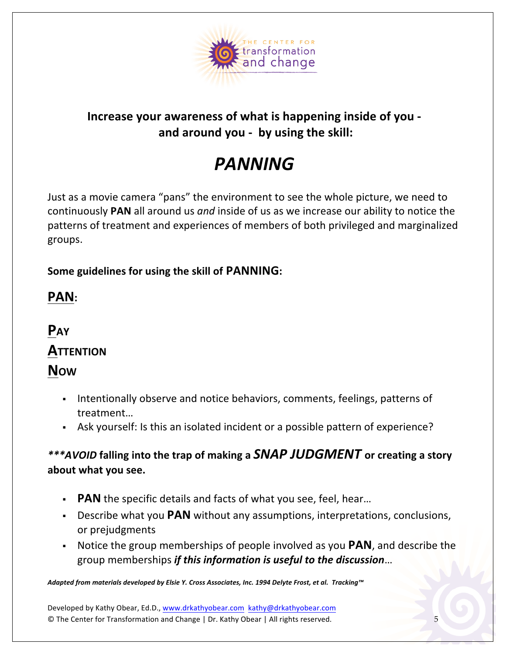

### **Increase your awareness of what is happening inside of you** and around you - by using the skill:

## *PANNING*

Just as a movie camera "pans" the environment to see the whole picture, we need to continuously PAN all around us and inside of us as we increase our ability to notice the patterns of treatment and experiences of members of both privileged and marginalized groups.

### **Some guidelines for using the skill of PANNING:**

## **PAN:**

## **PAY ATTENTION NOW**

- . Intentionally observe and notice behaviors, comments, feelings, patterns of treatment…
- Ask yourself: Is this an isolated incident or a possible pattern of experience?

### \*\*\*AVOID falling into the trap of making a **SNAP JUDGMENT** or creating a story about what you see.

- **PAN** the specific details and facts of what you see, feel, hear...
- **Describe what you PAN** without any assumptions, interpretations, conclusions, or prejudgments
- **Notice the group memberships of people involved as you PAN**, and describe the group memberships *if this information is useful to the discussion*...

Adapted from materials developed by Elsie Y. Cross Associates, Inc. 1994 Delyte Frost, et al. Tracking™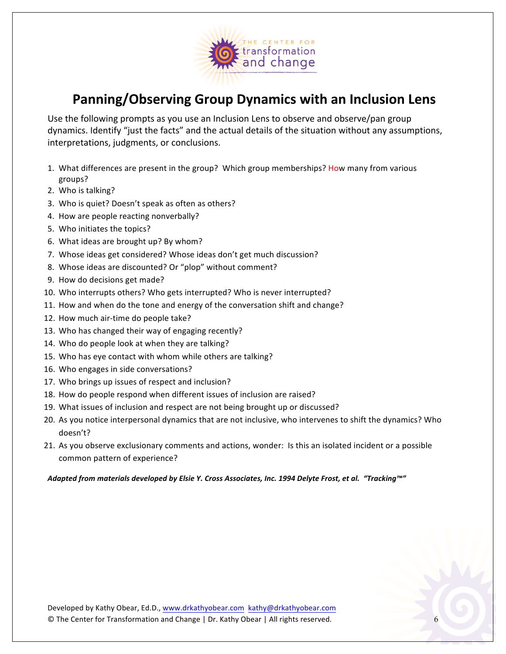

### **Panning/Observing Group Dynamics with an Inclusion Lens**

Use the following prompts as you use an Inclusion Lens to observe and observe/pan group dynamics. Identify "just the facts" and the actual details of the situation without any assumptions, interpretations, judgments, or conclusions.

- 1. What differences are present in the group? Which group memberships? How many from various groups?
- 2. Who is talking?
- 3. Who is quiet? Doesn't speak as often as others?
- 4. How are people reacting nonverbally?
- 5. Who initiates the topics?
- 6. What ideas are brought up? By whom?
- 7. Whose ideas get considered? Whose ideas don't get much discussion?
- 8. Whose ideas are discounted? Or "plop" without comment?
- 9. How do decisions get made?
- 10. Who interrupts others? Who gets interrupted? Who is never interrupted?
- 11. How and when do the tone and energy of the conversation shift and change?
- 12. How much air-time do people take?
- 13. Who has changed their way of engaging recently?
- 14. Who do people look at when they are talking?
- 15. Who has eye contact with whom while others are talking?
- 16. Who engages in side conversations?
- 17. Who brings up issues of respect and inclusion?
- 18. How do people respond when different issues of inclusion are raised?
- 19. What issues of inclusion and respect are not being brought up or discussed?
- 20. As you notice interpersonal dynamics that are not inclusive, who intervenes to shift the dynamics? Who doesn't?
- 21. As you observe exclusionary comments and actions, wonder: Is this an isolated incident or a possible common pattern of experience?

Adapted from materials developed by Elsie Y. Cross Associates, Inc. 1994 Delyte Frost, et al. "Tracking™"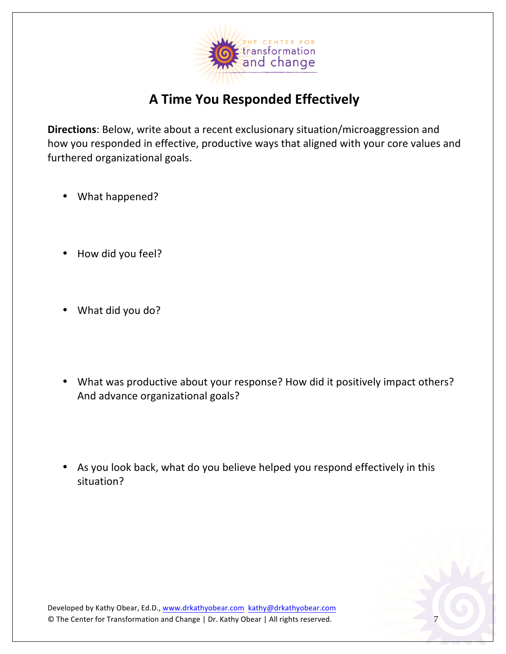

## **A Time You Responded Effectively**

**Directions**: Below, write about a recent exclusionary situation/microaggression and how you responded in effective, productive ways that aligned with your core values and furthered organizational goals.

- What happened?
- How did you feel?
- What did you do?
- What was productive about your response? How did it positively impact others? And advance organizational goals?
- As you look back, what do you believe helped you respond effectively in this situation?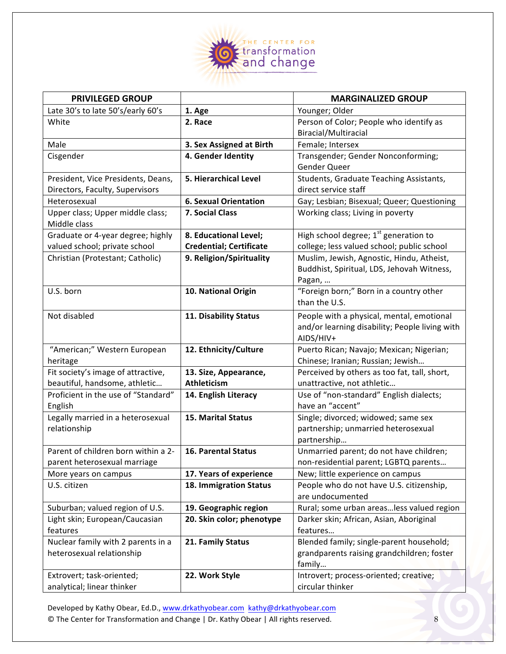

| <b>PRIVILEGED GROUP</b>                    |                                | <b>MARGINALIZED GROUP</b>                                     |
|--------------------------------------------|--------------------------------|---------------------------------------------------------------|
| Late 30's to late 50's/early 60's          | 1. Age                         | Younger; Older                                                |
| White                                      | 2. Race                        | Person of Color; People who identify as                       |
|                                            |                                | Biracial/Multiracial                                          |
| Male                                       | 3. Sex Assigned at Birth       | Female; Intersex                                              |
| Cisgender                                  | 4. Gender Identity             | Transgender; Gender Nonconforming;                            |
|                                            |                                | Gender Queer                                                  |
| President, Vice Presidents, Deans,         | 5. Hierarchical Level          | Students, Graduate Teaching Assistants,                       |
| Directors, Faculty, Supervisors            |                                | direct service staff                                          |
| Heterosexual                               | <b>6. Sexual Orientation</b>   | Gay; Lesbian; Bisexual; Queer; Questioning                    |
| Upper class; Upper middle class;           | 7. Social Class                | Working class; Living in poverty                              |
| Middle class                               |                                |                                                               |
| Graduate or 4-year degree; highly          | 8. Educational Level;          | High school degree; 1st generation to                         |
| valued school; private school              | <b>Credential; Certificate</b> | college; less valued school; public school                    |
| Christian (Protestant; Catholic)           | 9. Religion/Spirituality       | Muslim, Jewish, Agnostic, Hindu, Atheist,                     |
|                                            |                                | Buddhist, Spiritual, LDS, Jehovah Witness,                    |
|                                            |                                | Pagan,                                                        |
| U.S. born                                  | 10. National Origin            | "Foreign born;" Born in a country other                       |
|                                            |                                | than the U.S.                                                 |
| Not disabled                               | 11. Disability Status          | People with a physical, mental, emotional                     |
|                                            |                                | and/or learning disability; People living with                |
|                                            |                                | AIDS/HIV+                                                     |
| "American;" Western European               | 12. Ethnicity/Culture          | Puerto Rican; Navajo; Mexican; Nigerian;                      |
| heritage                                   |                                | Chinese; Iranian; Russian; Jewish                             |
| Fit society's image of attractive,         | 13. Size, Appearance,          | Perceived by others as too fat, tall, short,                  |
| beautiful, handsome, athletic              | <b>Athleticism</b>             | unattractive, not athletic                                    |
| Proficient in the use of "Standard"        | 14. English Literacy           | Use of "non-standard" English dialects;                       |
| English                                    |                                | have an "accent"                                              |
| Legally married in a heterosexual          | <b>15. Marital Status</b>      | Single; divorced; widowed; same sex                           |
| relationship                               |                                | partnership; unmarried heterosexual                           |
|                                            |                                | partnership                                                   |
| Parent of children born within a 2-        | 16. Parental Status            | Unmarried parent; do not have children;                       |
| parent heterosexual marriage               |                                | non-residential parent; LGBTQ parents                         |
| More years on campus                       | 17. Years of experience        | New; little experience on campus                              |
| U.S. citizen                               | 18. Immigration Status         | People who do not have U.S. citizenship,                      |
|                                            |                                | are undocumented<br>Rural; some urban areasless valued region |
| Suburban; valued region of U.S.            | 19. Geographic region          |                                                               |
| Light skin; European/Caucasian<br>features | 20. Skin color; phenotype      | Darker skin; African, Asian, Aboriginal<br>features           |
| Nuclear family with 2 parents in a         | 21. Family Status              | Blended family; single-parent household;                      |
| heterosexual relationship                  |                                | grandparents raising grandchildren; foster                    |
|                                            |                                | family                                                        |
| Extrovert; task-oriented;                  | 22. Work Style                 | Introvert; process-oriented; creative;                        |
| analytical; linear thinker                 |                                | circular thinker                                              |
|                                            |                                |                                                               |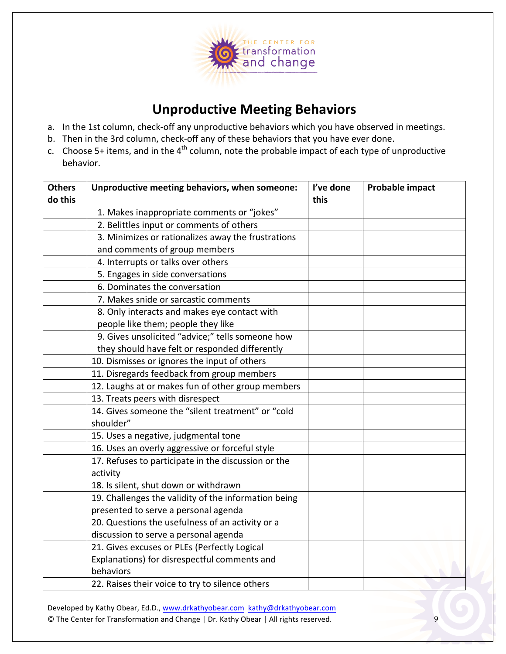

## **Unproductive Meeting Behaviors**

- a. In the 1st column, check-off any unproductive behaviors which you have observed in meetings.
- b. Then in the 3rd column, check-off any of these behaviors that you have ever done.
- c. Choose 5+ items, and in the  $4<sup>th</sup>$  column, note the probable impact of each type of unproductive behavior.

| <b>Others</b> | Unproductive meeting behaviors, when someone:        | I've done | <b>Probable impact</b> |
|---------------|------------------------------------------------------|-----------|------------------------|
| do this       |                                                      |           |                        |
|               | 1. Makes inappropriate comments or "jokes"           |           |                        |
|               | 2. Belittles input or comments of others             |           |                        |
|               | 3. Minimizes or rationalizes away the frustrations   |           |                        |
|               | and comments of group members                        |           |                        |
|               | 4. Interrupts or talks over others                   |           |                        |
|               | 5. Engages in side conversations                     |           |                        |
|               | 6. Dominates the conversation                        |           |                        |
|               | 7. Makes snide or sarcastic comments                 |           |                        |
|               | 8. Only interacts and makes eye contact with         |           |                        |
|               | people like them; people they like                   |           |                        |
|               | 9. Gives unsolicited "advice;" tells someone how     |           |                        |
|               | they should have felt or responded differently       |           |                        |
|               | 10. Dismisses or ignores the input of others         |           |                        |
|               | 11. Disregards feedback from group members           |           |                        |
|               | 12. Laughs at or makes fun of other group members    |           |                        |
|               | 13. Treats peers with disrespect                     |           |                        |
|               | 14. Gives someone the "silent treatment" or "cold    |           |                        |
|               | shoulder"                                            |           |                        |
|               | 15. Uses a negative, judgmental tone                 |           |                        |
|               | 16. Uses an overly aggressive or forceful style      |           |                        |
|               | 17. Refuses to participate in the discussion or the  |           |                        |
|               | activity                                             |           |                        |
|               | 18. Is silent, shut down or withdrawn                |           |                        |
|               | 19. Challenges the validity of the information being |           |                        |
|               | presented to serve a personal agenda                 |           |                        |
|               | 20. Questions the usefulness of an activity or a     |           |                        |
|               | discussion to serve a personal agenda                |           |                        |
|               | 21. Gives excuses or PLEs (Perfectly Logical         |           |                        |
|               | Explanations) for disrespectful comments and         |           |                        |
|               | behaviors                                            |           |                        |
|               | 22. Raises their voice to try to silence others      |           |                        |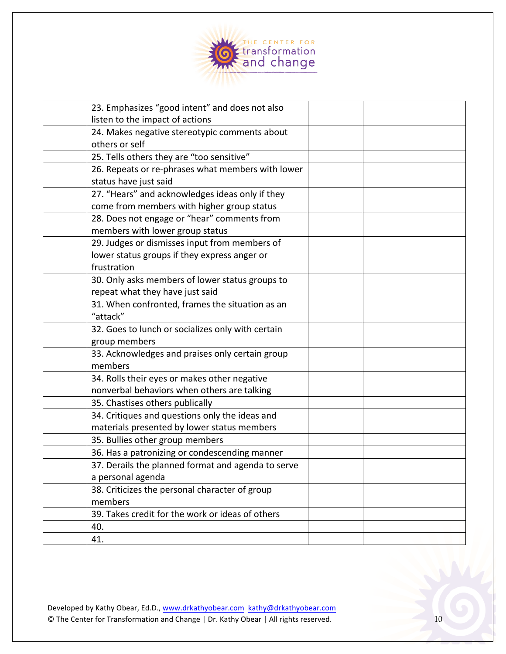

| 23. Emphasizes "good intent" and does not also     |  |
|----------------------------------------------------|--|
| listen to the impact of actions                    |  |
| 24. Makes negative stereotypic comments about      |  |
| others or self                                     |  |
| 25. Tells others they are "too sensitive"          |  |
| 26. Repeats or re-phrases what members with lower  |  |
| status have just said                              |  |
| 27. "Hears" and acknowledges ideas only if they    |  |
| come from members with higher group status         |  |
| 28. Does not engage or "hear" comments from        |  |
| members with lower group status                    |  |
| 29. Judges or dismisses input from members of      |  |
| lower status groups if they express anger or       |  |
| frustration                                        |  |
| 30. Only asks members of lower status groups to    |  |
| repeat what they have just said                    |  |
| 31. When confronted, frames the situation as an    |  |
| "attack"                                           |  |
| 32. Goes to lunch or socializes only with certain  |  |
| group members                                      |  |
| 33. Acknowledges and praises only certain group    |  |
| members                                            |  |
| 34. Rolls their eyes or makes other negative       |  |
| nonverbal behaviors when others are talking        |  |
| 35. Chastises others publically                    |  |
| 34. Critiques and questions only the ideas and     |  |
| materials presented by lower status members        |  |
| 35. Bullies other group members                    |  |
| 36. Has a patronizing or condescending manner      |  |
| 37. Derails the planned format and agenda to serve |  |
| a personal agenda                                  |  |
| 38. Criticizes the personal character of group     |  |
| members                                            |  |
| 39. Takes credit for the work or ideas of others   |  |
| 40.                                                |  |
| 41.                                                |  |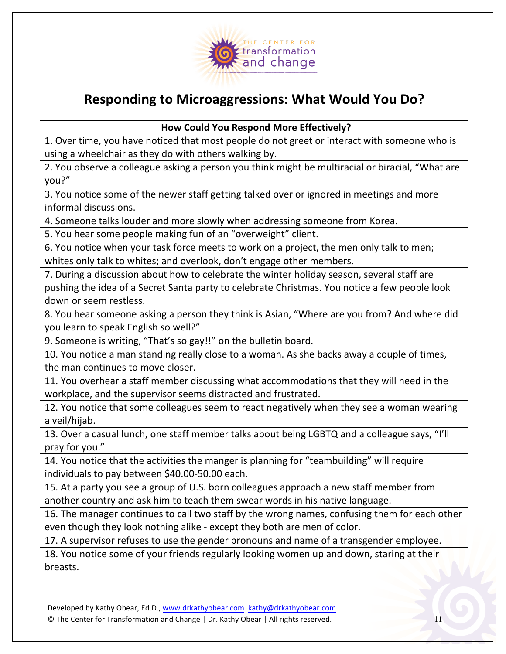

## **Responding to Microaggressions: What Would You Do?**

**How Could You Respond More Effectively?**

1. Over time, you have noticed that most people do not greet or interact with someone who is using a wheelchair as they do with others walking by.

2. You observe a colleague asking a person you think might be multiracial or biracial, "What are you?"

3. You notice some of the newer staff getting talked over or ignored in meetings and more informal discussions. 

4. Someone talks louder and more slowly when addressing someone from Korea.

5. You hear some people making fun of an "overweight" client.

6. You notice when your task force meets to work on a project, the men only talk to men; whites only talk to whites; and overlook, don't engage other members.

7. During a discussion about how to celebrate the winter holiday season, several staff are pushing the idea of a Secret Santa party to celebrate Christmas. You notice a few people look down or seem restless.

8. You hear someone asking a person they think is Asian, "Where are you from? And where did you learn to speak English so well?"

9. Someone is writing, "That's so gay!!" on the bulletin board.

10. You notice a man standing really close to a woman. As she backs away a couple of times, the man continues to move closer.

11. You overhear a staff member discussing what accommodations that they will need in the workplace, and the supervisor seems distracted and frustrated.

12. You notice that some colleagues seem to react negatively when they see a woman wearing a veil/hijab.

13. Over a casual lunch, one staff member talks about being LGBTQ and a colleague says, "I'll pray for you."

14. You notice that the activities the manger is planning for "teambuilding" will require individuals to pay between \$40.00-50.00 each.

15. At a party you see a group of U.S. born colleagues approach a new staff member from another country and ask him to teach them swear words in his native language.

16. The manager continues to call two staff by the wrong names, confusing them for each other even though they look nothing alike - except they both are men of color.

17. A supervisor refuses to use the gender pronouns and name of a transgender employee.

18. You notice some of your friends regularly looking women up and down, staring at their breasts.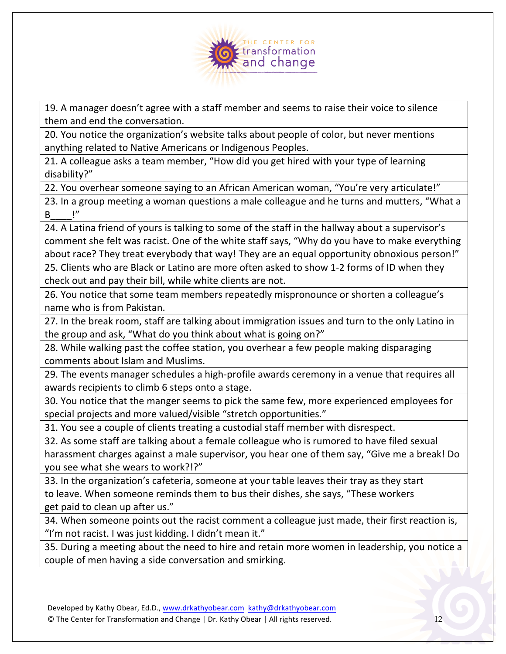

19. A manager doesn't agree with a staff member and seems to raise their voice to silence them and end the conversation.

20. You notice the organization's website talks about people of color, but never mentions anything related to Native Americans or Indigenous Peoples.

21. A colleague asks a team member, "How did you get hired with your type of learning disability?"

22. You overhear someone saying to an African American woman, "You're very articulate!"

23. In a group meeting a woman questions a male colleague and he turns and mutters, "What a B\_\_\_\_!"

24. A Latina friend of yours is talking to some of the staff in the hallway about a supervisor's comment she felt was racist. One of the white staff says, "Why do you have to make everything about race? They treat everybody that way! They are an equal opportunity obnoxious person!"

25. Clients who are Black or Latino are more often asked to show 1-2 forms of ID when they check out and pay their bill, while white clients are not.

26. You notice that some team members repeatedly mispronounce or shorten a colleague's name who is from Pakistan.

27. In the break room, staff are talking about immigration issues and turn to the only Latino in the group and ask, "What do you think about what is going on?"

28. While walking past the coffee station, you overhear a few people making disparaging comments about Islam and Muslims.

29. The events manager schedules a high-profile awards ceremony in a venue that requires all awards recipients to climb 6 steps onto a stage.

30. You notice that the manger seems to pick the same few, more experienced employees for special projects and more valued/visible "stretch opportunities."

31. You see a couple of clients treating a custodial staff member with disrespect.

32. As some staff are talking about a female colleague who is rumored to have filed sexual harassment charges against a male supervisor, you hear one of them say, "Give me a break! Do you see what she wears to work?!?"

33. In the organization's cafeteria, someone at your table leaves their tray as they start to leave. When someone reminds them to bus their dishes, she says, "These workers get paid to clean up after us."

34. When someone points out the racist comment a colleague just made, their first reaction is, "I'm not racist. I was just kidding. I didn't mean it."

35. During a meeting about the need to hire and retain more women in leadership, you notice a couple of men having a side conversation and smirking.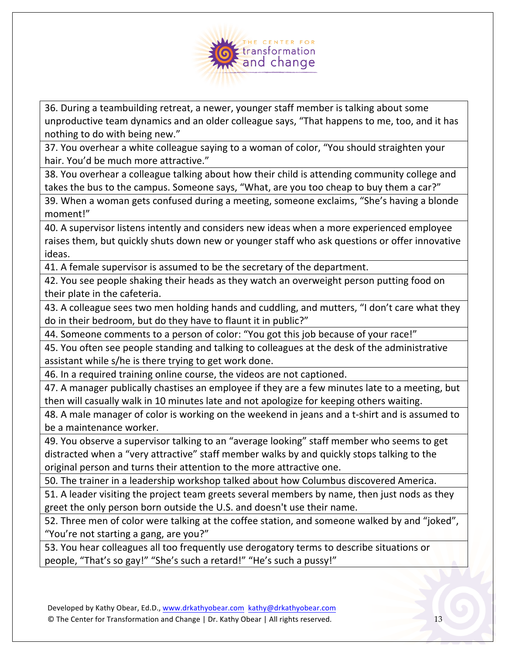

36. During a teambuilding retreat, a newer, younger staff member is talking about some unproductive team dynamics and an older colleague says, "That happens to me, too, and it has nothing to do with being new."

37. You overhear a white colleague saying to a woman of color, "You should straighten your hair. You'd be much more attractive."

38. You overhear a colleague talking about how their child is attending community college and takes the bus to the campus. Someone says, "What, are you too cheap to buy them a car?"

39. When a woman gets confused during a meeting, someone exclaims, "She's having a blonde moment!"

40. A supervisor listens intently and considers new ideas when a more experienced employee raises them, but quickly shuts down new or younger staff who ask questions or offer innovative ideas.

41. A female supervisor is assumed to be the secretary of the department.

42. You see people shaking their heads as they watch an overweight person putting food on their plate in the cafeteria.

43. A colleague sees two men holding hands and cuddling, and mutters, "I don't care what they do in their bedroom, but do they have to flaunt it in public?"

44. Someone comments to a person of color: "You got this job because of your race!"

45. You often see people standing and talking to colleagues at the desk of the administrative assistant while s/he is there trying to get work done.

46. In a required training online course, the videos are not captioned.

47. A manager publically chastises an employee if they are a few minutes late to a meeting, but then will casually walk in 10 minutes late and not apologize for keeping others waiting.

48. A male manager of color is working on the weekend in jeans and a t-shirt and is assumed to be a maintenance worker.

49. You observe a supervisor talking to an "average looking" staff member who seems to get distracted when a "very attractive" staff member walks by and quickly stops talking to the original person and turns their attention to the more attractive one.

50. The trainer in a leadership workshop talked about how Columbus discovered America.

51. A leader visiting the project team greets several members by name, then just nods as they greet the only person born outside the U.S. and doesn't use their name.

52. Three men of color were talking at the coffee station, and someone walked by and "joked", "You're not starting a gang, are you?"

53. You hear colleagues all too frequently use derogatory terms to describe situations or people, "That's so gay!" "She's such a retard!" "He's such a pussy!"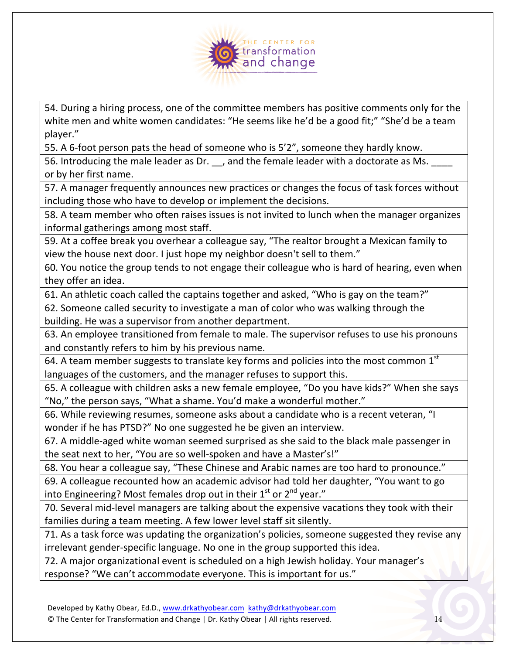

54. During a hiring process, one of the committee members has positive comments only for the white men and white women candidates: "He seems like he'd be a good fit;" "She'd be a team player."

55. A 6-foot person pats the head of someone who is 5'2", someone they hardly know.

56. Introducing the male leader as Dr. \_\_, and the female leader with a doctorate as Ms. \_ or by her first name.

57. A manager frequently announces new practices or changes the focus of task forces without including those who have to develop or implement the decisions.

58. A team member who often raises issues is not invited to lunch when the manager organizes informal gatherings among most staff.

59. At a coffee break you overhear a colleague say, "The realtor brought a Mexican family to view the house next door. I just hope my neighbor doesn't sell to them."

60. You notice the group tends to not engage their colleague who is hard of hearing, even when they offer an idea.

61. An athletic coach called the captains together and asked, "Who is gay on the team?"

62. Someone called security to investigate a man of color who was walking through the building. He was a supervisor from another department.

63. An employee transitioned from female to male. The supervisor refuses to use his pronouns and constantly refers to him by his previous name.

64. A team member suggests to translate key forms and policies into the most common  $1<sup>st</sup>$ languages of the customers, and the manager refuses to support this.

65. A colleague with children asks a new female employee, "Do you have kids?" When she says "No," the person says, "What a shame. You'd make a wonderful mother."

66. While reviewing resumes, someone asks about a candidate who is a recent veteran, "I wonder if he has PTSD?" No one suggested he be given an interview.

67. A middle-aged white woman seemed surprised as she said to the black male passenger in the seat next to her, "You are so well-spoken and have a Master's!"

68. You hear a colleague say, "These Chinese and Arabic names are too hard to pronounce."

69. A colleague recounted how an academic advisor had told her daughter, "You want to go into Engineering? Most females drop out in their  $1<sup>st</sup>$  or  $2<sup>nd</sup>$  year."

70. Several mid-level managers are talking about the expensive vacations they took with their families during a team meeting. A few lower level staff sit silently.

71. As a task force was updating the organization's policies, someone suggested they revise any irrelevant gender-specific language. No one in the group supported this idea.

72. A major organizational event is scheduled on a high Jewish holiday. Your manager's response? "We can't accommodate everyone. This is important for us."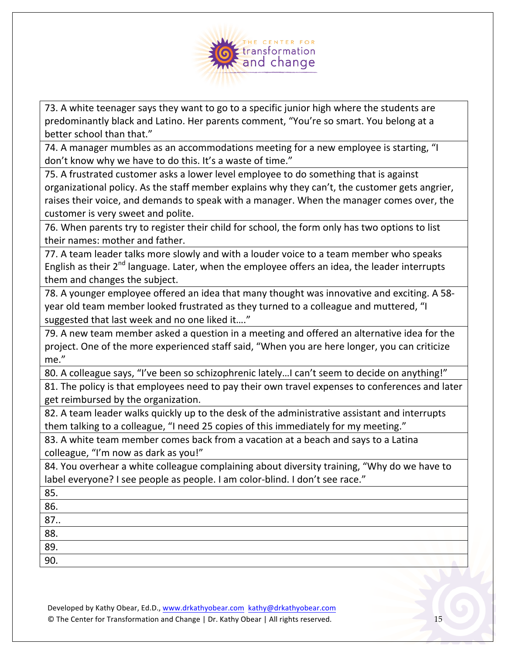

73. A white teenager says they want to go to a specific junior high where the students are predominantly black and Latino. Her parents comment, "You're so smart. You belong at a better school than that."

74. A manager mumbles as an accommodations meeting for a new employee is starting, "I don't know why we have to do this. It's a waste of time."

75. A frustrated customer asks a lower level employee to do something that is against organizational policy. As the staff member explains why they can't, the customer gets angrier, raises their voice, and demands to speak with a manager. When the manager comes over, the customer is very sweet and polite.

76. When parents try to register their child for school, the form only has two options to list their names: mother and father.

77. A team leader talks more slowly and with a louder voice to a team member who speaks English as their  $2^{nd}$  language. Later, when the employee offers an idea, the leader interrupts them and changes the subject.

78. A younger employee offered an idea that many thought was innovative and exciting. A 58year old team member looked frustrated as they turned to a colleague and muttered, "I suggested that last week and no one liked it...."

79. A new team member asked a question in a meeting and offered an alternative idea for the project. One of the more experienced staff said, "When you are here longer, you can criticize me."

80. A colleague says, "I've been so schizophrenic lately...I can't seem to decide on anything!"

81. The policy is that employees need to pay their own travel expenses to conferences and later get reimbursed by the organization.

82. A team leader walks quickly up to the desk of the administrative assistant and interrupts them talking to a colleague, "I need 25 copies of this immediately for my meeting."

83. A white team member comes back from a vacation at a beach and says to a Latina colleague, "I'm now as dark as you!"

84. You overhear a white colleague complaining about diversity training, "Why do we have to label everyone? I see people as people. I am color-blind. I don't see race."

85. 

86. 

87..

88. 

89. 90.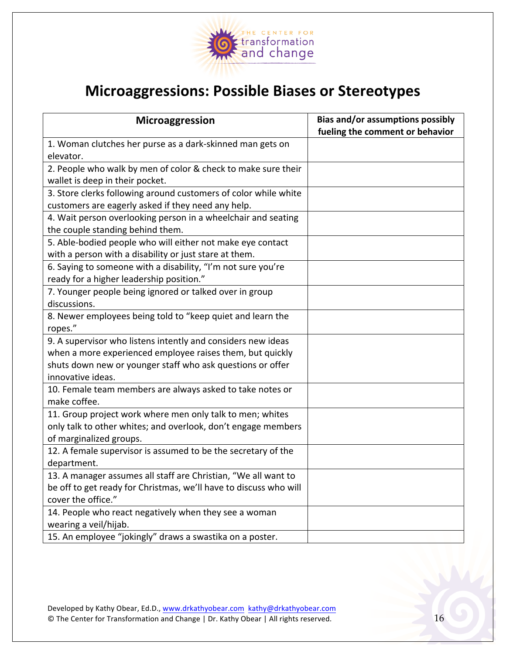

## **Microaggressions: Possible Biases or Stereotypes**

| Microaggression                                                   | <b>Bias and/or assumptions possibly</b> |
|-------------------------------------------------------------------|-----------------------------------------|
|                                                                   | fueling the comment or behavior         |
| 1. Woman clutches her purse as a dark-skinned man gets on         |                                         |
| elevator.                                                         |                                         |
| 2. People who walk by men of color & check to make sure their     |                                         |
| wallet is deep in their pocket.                                   |                                         |
| 3. Store clerks following around customers of color while white   |                                         |
| customers are eagerly asked if they need any help.                |                                         |
| 4. Wait person overlooking person in a wheelchair and seating     |                                         |
| the couple standing behind them.                                  |                                         |
| 5. Able-bodied people who will either not make eye contact        |                                         |
| with a person with a disability or just stare at them.            |                                         |
| 6. Saying to someone with a disability, "I'm not sure you're      |                                         |
| ready for a higher leadership position."                          |                                         |
| 7. Younger people being ignored or talked over in group           |                                         |
| discussions.                                                      |                                         |
| 8. Newer employees being told to "keep quiet and learn the        |                                         |
| ropes."                                                           |                                         |
| 9. A supervisor who listens intently and considers new ideas      |                                         |
| when a more experienced employee raises them, but quickly         |                                         |
| shuts down new or younger staff who ask questions or offer        |                                         |
| innovative ideas.                                                 |                                         |
| 10. Female team members are always asked to take notes or         |                                         |
| make coffee.                                                      |                                         |
| 11. Group project work where men only talk to men; whites         |                                         |
| only talk to other whites; and overlook, don't engage members     |                                         |
| of marginalized groups.                                           |                                         |
| 12. A female supervisor is assumed to be the secretary of the     |                                         |
| department.                                                       |                                         |
| 13. A manager assumes all staff are Christian, "We all want to    |                                         |
| be off to get ready for Christmas, we'll have to discuss who will |                                         |
| cover the office."                                                |                                         |
| 14. People who react negatively when they see a woman             |                                         |
| wearing a veil/hijab.                                             |                                         |
| 15. An employee "jokingly" draws a swastika on a poster.          |                                         |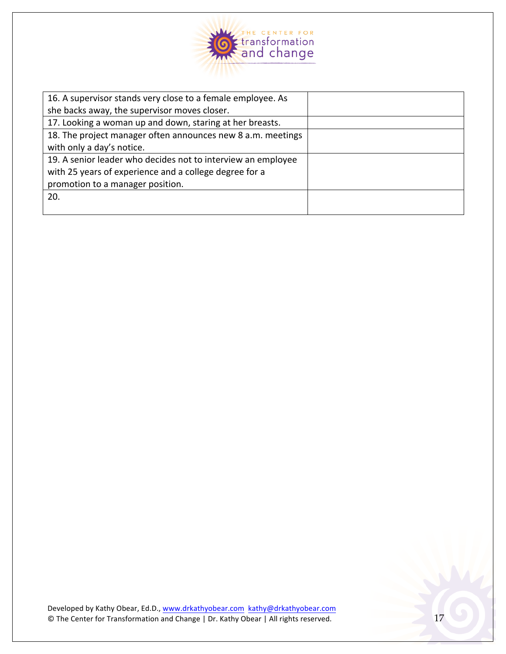

| 16. A supervisor stands very close to a female employee. As  |  |
|--------------------------------------------------------------|--|
| she backs away, the supervisor moves closer.                 |  |
| 17. Looking a woman up and down, staring at her breasts.     |  |
| 18. The project manager often announces new 8 a.m. meetings  |  |
| with only a day's notice.                                    |  |
| 19. A senior leader who decides not to interview an employee |  |
| with 25 years of experience and a college degree for a       |  |
| promotion to a manager position.                             |  |
| 20.                                                          |  |
|                                                              |  |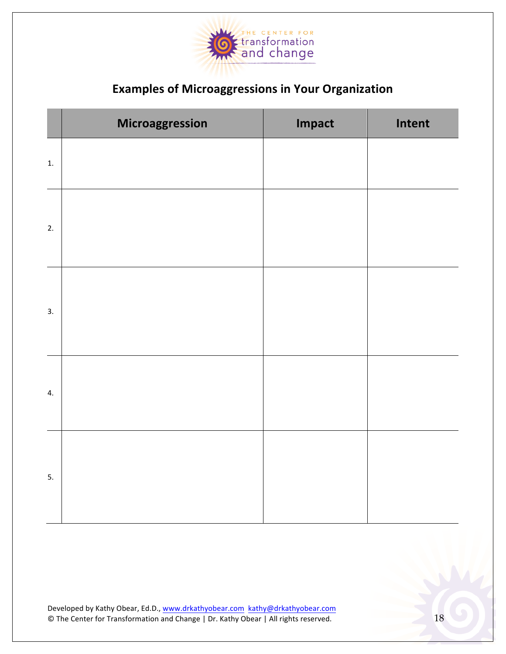

### **Examples of Microaggressions in Your Organization**

|                  | Microaggression | Impact | Intent |
|------------------|-----------------|--------|--------|
| 1.               |                 |        |        |
| 2.               |                 |        |        |
| $\overline{3}$ . |                 |        |        |
| 4.               |                 |        |        |
| 5.               |                 |        |        |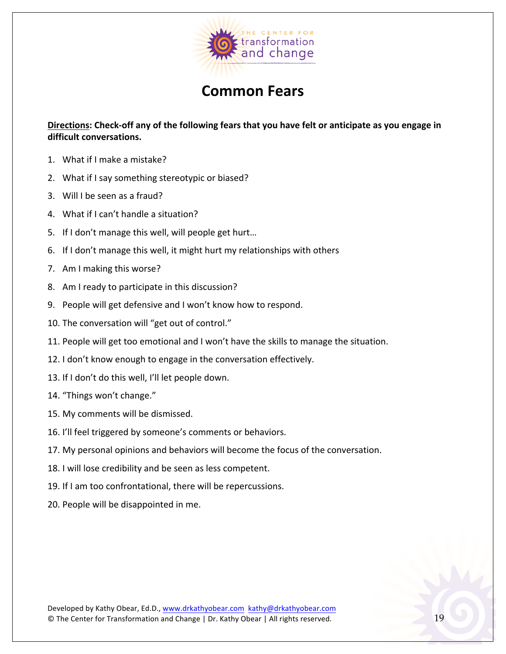

## **Common Fears**

Directions: Check-off any of the following fears that you have felt or anticipate as you engage in **difficult conversations.**

- 1. What if I make a mistake?
- 2. What if I say something stereotypic or biased?
- 3. Will I be seen as a fraud?
- 4. What if I can't handle a situation?
- 5. If I don't manage this well, will people get hurt...
- 6. If I don't manage this well, it might hurt my relationships with others
- 7. Am I making this worse?
- 8. Am I ready to participate in this discussion?
- 9. People will get defensive and I won't know how to respond.
- 10. The conversation will "get out of control."
- 11. People will get too emotional and I won't have the skills to manage the situation.
- 12. I don't know enough to engage in the conversation effectively.
- 13. If I don't do this well, I'll let people down.
- 14. "Things won't change."
- 15. My comments will be dismissed.
- 16. I'll feel triggered by someone's comments or behaviors.
- 17. My personal opinions and behaviors will become the focus of the conversation.
- 18. I will lose credibility and be seen as less competent.
- 19. If I am too confrontational, there will be repercussions.
- 20. People will be disappointed in me.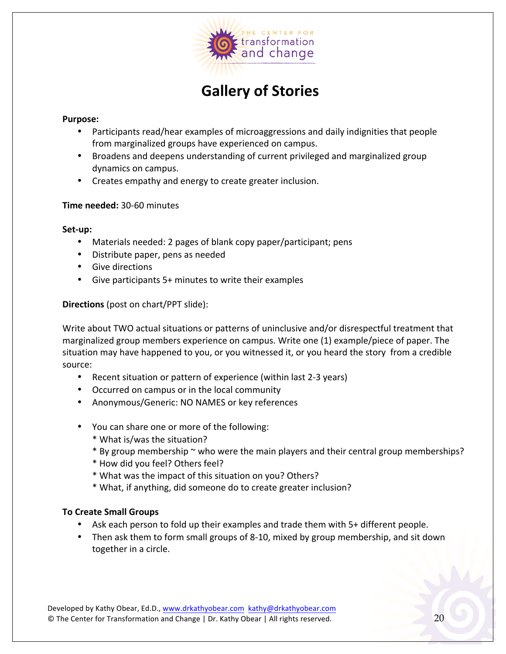

## **Gallery of Stories**

#### **Purpose:**

- Participants read/hear examples of microaggressions and daily indignities that people from marginalized groups have experienced on campus.
- Broadens and deepens understanding of current privileged and marginalized group dynamics on campus.
- Creates empathy and energy to create greater inclusion.

#### **Time needed: 30-60 minutes**

#### Set-up:

- Materials needed: 2 pages of blank copy paper/participant; pens
- Distribute paper, pens as needed
- Give directions
- Give participants  $5+$  minutes to write their examples

#### **Directions** (post on chart/PPT slide):

Write about TWO actual situations or patterns of uninclusive and/or disrespectful treatment that marginalized group members experience on campus. Write one (1) example/piece of paper. The situation may have happened to you, or you witnessed it, or you heard the story from a credible source:

- Recent situation or pattern of experience (within last 2-3 years)
- Occurred on campus or in the local community
- Anonymous/Generic: NO NAMES or key references
- You can share one or more of the following:
	- \* What is/was the situation?
	- \* By group membership ~ who were the main players and their central group memberships?
	- \* How did you feel? Others feel?
	- \* What was the impact of this situation on you? Others?
	- \* What, if anything, did someone do to create greater inclusion?

#### **To Create Small Groups**

- Ask each person to fold up their examples and trade them with 5+ different people.
- Then ask them to form small groups of 8-10, mixed by group membership, and sit down together in a circle.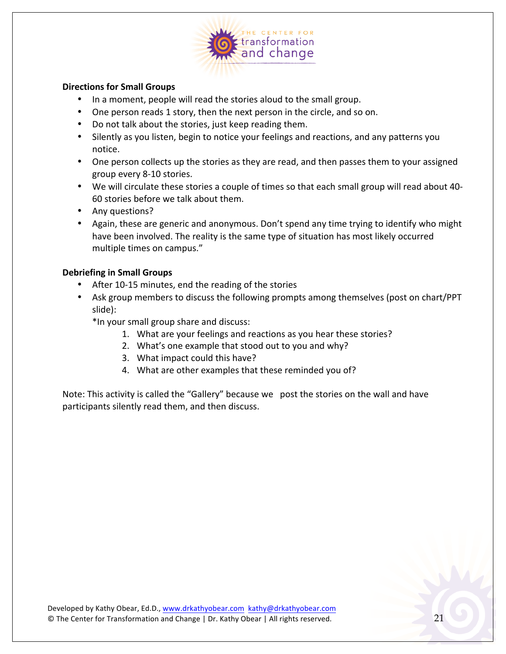

#### **Directions for Small Groups**

- In a moment, people will read the stories aloud to the small group.
- One person reads 1 story, then the next person in the circle, and so on.
- Do not talk about the stories, just keep reading them.
- Silently as you listen, begin to notice your feelings and reactions, and any patterns you notice.
- One person collects up the stories as they are read, and then passes them to your assigned group every 8-10 stories.
- We will circulate these stories a couple of times so that each small group will read about 40-60 stories before we talk about them.
- Any questions?
- Again, these are generic and anonymous. Don't spend any time trying to identify who might have been involved. The reality is the same type of situation has most likely occurred multiple times on campus."

#### **Debriefing in Small Groups**

- After 10-15 minutes, end the reading of the stories
- Ask group members to discuss the following prompts among themselves (post on chart/PPT slide):
	- \*In your small group share and discuss:
		- 1. What are your feelings and reactions as you hear these stories?
		- 2. What's one example that stood out to you and why?
		- 3. What impact could this have?
		- 4. What are other examples that these reminded you of?

Note: This activity is called the "Gallery" because we post the stories on the wall and have participants silently read them, and then discuss.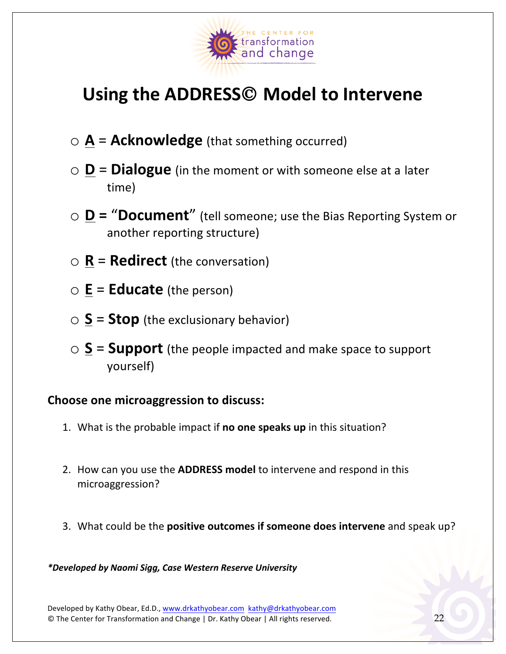

## Using the ADDRESS<sup>©</sup> Model to Intervene

- $\circ$  **A** = **Acknowledge** (that something occurred)
- $\circ$  **D** = **Dialogue** (in the moment or with someone else at a later time)
- **D** = "**Document**" (tell someone; use the Bias Reporting System or another reporting structure)
- $\circ$  **R** = **Redirect** (the conversation)
- $\circ$  **E** = **Educate** (the person)
- $\circ$  **S** = **Stop** (the exclusionary behavior)
- $\circ$  **S** = **Support** (the people impacted and make space to support yourself)

#### **Choose one microaggression to discuss:**

- 1. What is the probable impact if **no one speaks up** in this situation?
- 2. How can you use the **ADDRESS model** to intervene and respond in this microaggression?
- 3. What could be the **positive outcomes if someone does intervene** and speak up?

*\*Developed by Naomi Sigg, Case Western Reserve University*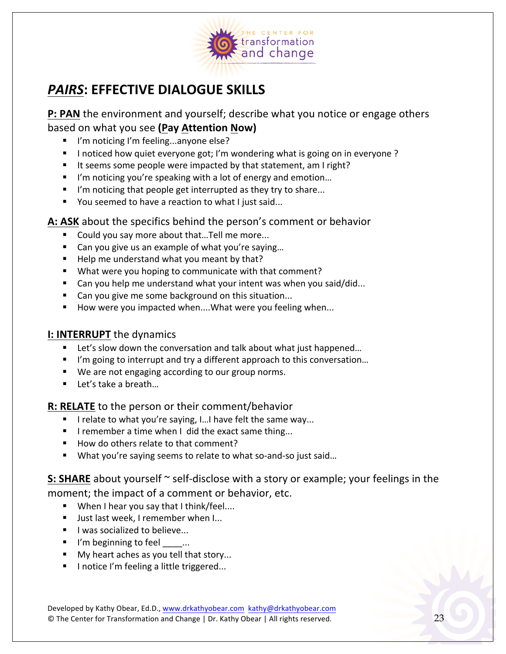

## **PAIRS: EFFECTIVE DIALOGUE SKILLS**

**P: PAN** the environment and yourself; describe what you notice or engage others based on what you see (Pay Attention Now)

- " I'm noticing I'm feeling...anyone else?
- " I noticed how quiet everyone got; I'm wondering what is going on in everyone?
- " It seems some people were impacted by that statement, am I right?
- I'm noticing you're speaking with a lot of energy and emotion...
- $\blacksquare$  I'm noticing that people get interrupted as they try to share...
- You seemed to have a reaction to what I just said...

#### **A: ASK** about the specifics behind the person's comment or behavior

- Could you say more about that...Tell me more...
- Can you give us an example of what you're saying...
- $\blacksquare$  Help me understand what you meant by that?
- What were you hoping to communicate with that comment?
- Can you help me understand what your intent was when you said/did...
- Can you give me some background on this situation...
- How were you impacted when....What were you feeling when...

#### **I: INTERRUPT** the dynamics

- Let's slow down the conversation and talk about what just happened...
- I'm going to interrupt and try a different approach to this conversation...
- We are not engaging according to our group norms.
- $\blacksquare$  Let's take a breath...

#### **R: RELATE** to the person or their comment/behavior

- $\blacksquare$  I relate to what you're saying, I...I have felt the same way...
- $\blacksquare$  I remember a time when I did the exact same thing...
- How do others relate to that comment?
- What you're saying seems to relate to what so-and-so just said...

**S: SHARE** about yourself  $\sim$  self-disclose with a story or example; your feelings in the moment; the impact of a comment or behavior, etc.

- When I hear you say that I think/feel....
- Just last week, I remember when I...
- I was socialized to believe...
- $\blacksquare$  I'm beginning to feel  $\ldots$
- My heart aches as you tell that story...
- I notice I'm feeling a little triggered...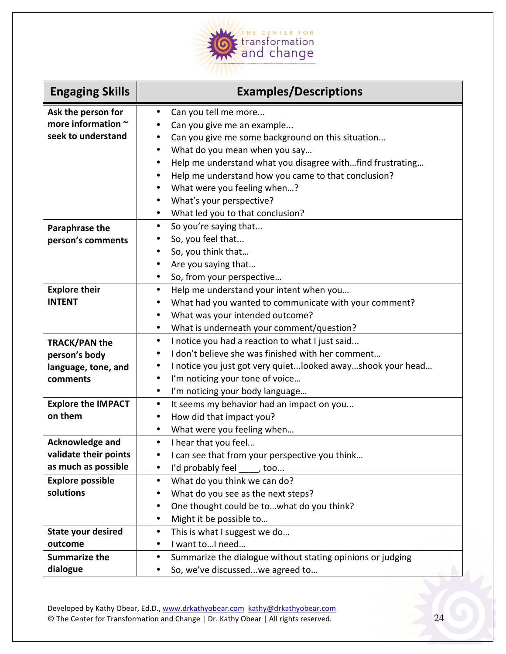

| <b>Engaging Skills</b>                                                   | <b>Examples/Descriptions</b>                                                                                                                                                                                                                                                                                          |
|--------------------------------------------------------------------------|-----------------------------------------------------------------------------------------------------------------------------------------------------------------------------------------------------------------------------------------------------------------------------------------------------------------------|
| Ask the person for<br>more information ~<br>seek to understand           | Can you tell me more<br>$\bullet$<br>Can you give me an example<br>Can you give me some background on this situation<br>$\bullet$<br>What do you mean when you say<br>$\bullet$<br>Help me understand what you disagree withfind frustrating<br>٠<br>Help me understand how you came to that conclusion?<br>$\bullet$ |
|                                                                          | What were you feeling when?<br>$\bullet$<br>What's your perspective?<br>$\bullet$<br>What led you to that conclusion?<br>$\bullet$                                                                                                                                                                                    |
| Paraphrase the<br>person's comments                                      | So you're saying that<br>$\bullet$<br>So, you feel that<br>٠<br>So, you think that<br>$\bullet$<br>Are you saying that<br>$\bullet$<br>So, from your perspective<br>$\bullet$                                                                                                                                         |
| <b>Explore their</b><br><b>INTENT</b>                                    | Help me understand your intent when you<br>$\bullet$<br>What had you wanted to communicate with your comment?<br>$\bullet$<br>What was your intended outcome?<br>$\bullet$<br>What is underneath your comment/question?<br>$\bullet$                                                                                  |
| <b>TRACK/PAN the</b><br>person's body<br>language, tone, and<br>comments | I notice you had a reaction to what I just said<br>$\bullet$<br>I don't believe she was finished with her comment<br>٠<br>I notice you just got very quiet looked away shook your head<br>$\bullet$<br>I'm noticing your tone of voice<br>$\bullet$<br>I'm noticing your body language<br>$\bullet$                   |
| <b>Explore the IMPACT</b><br>on them                                     | It seems my behavior had an impact on you<br>$\bullet$<br>How did that impact you?<br>$\bullet$<br>What were you feeling when<br>$\bullet$                                                                                                                                                                            |
| <b>Acknowledge and</b><br>validate their points<br>as much as possible   | I hear that you feel<br>$\bullet$<br>I can see that from your perspective you think<br>٠<br>I'd probably feel<br>٠<br>$\overline{\phantom{a}}$ , too                                                                                                                                                                  |
| <b>Explore possible</b><br>solutions                                     | What do you think we can do?<br>$\bullet$<br>What do you see as the next steps?<br>٠<br>One thought could be towhat do you think?<br>$\bullet$<br>Might it be possible to<br>$\bullet$                                                                                                                                |
| <b>State your desired</b><br>outcome<br><b>Summarize the</b>             | This is what I suggest we do<br>$\bullet$<br>I want toI need<br>$\bullet$<br>Summarize the dialogue without stating opinions or judging<br>٠                                                                                                                                                                          |
| dialogue                                                                 | So, we've discussedwe agreed to<br>$\bullet$                                                                                                                                                                                                                                                                          |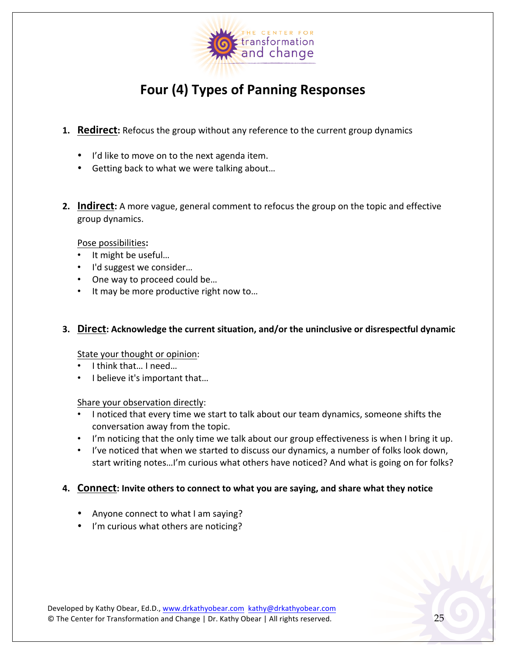

## Four (4) Types of Panning Responses

- **1. Redirect:** Refocus the group without any reference to the current group dynamics
	- I'd like to move on to the next agenda item.
	- Getting back to what we were talking about...
- **2.** Indirect: A more vague, general comment to refocus the group on the topic and effective group dynamics.

#### Pose possibilities**:**

- It might be useful...
- I'd suggest we consider...
- One way to proceed could be...
- It may be more productive right now to...

#### **3. Direct:** Acknowledge the current situation, and/or the uninclusive or disrespectful dynamic

#### State your thought or opinion:

- I think that... I need...
- I believe it's important that...

#### Share your observation directly:

- I noticed that every time we start to talk about our team dynamics, someone shifts the conversation away from the topic.
- I'm noticing that the only time we talk about our group effectiveness is when I bring it up.
- I've noticed that when we started to discuss our dynamics, a number of folks look down, start writing notes...I'm curious what others have noticed? And what is going on for folks?

#### **4. Connect:** Invite others to connect to what you are saying, and share what they notice

- Anyone connect to what I am saying?
- I'm curious what others are noticing?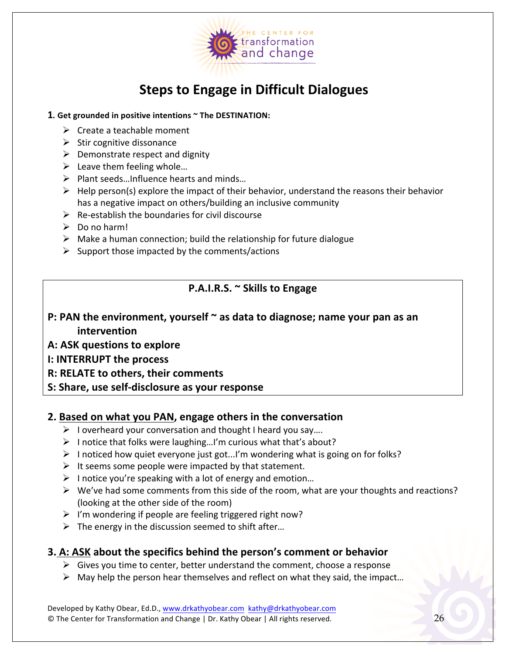

## **Steps to Engage in Difficult Dialogues**

#### 1. Get grounded in positive intentions  $\sim$  The DESTINATION:

- $\triangleright$  Create a teachable moment
- $\triangleright$  Stir cognitive dissonance
- $\triangleright$  Demonstrate respect and dignity
- $\triangleright$  Leave them feeling whole...
- $\triangleright$  Plant seeds...Influence hearts and minds...
- $\triangleright$  Help person(s) explore the impact of their behavior, understand the reasons their behavior has a negative impact on others/building an inclusive community
- $\triangleright$  Re-establish the boundaries for civil discourse
- $\triangleright$  Do no harm!
- $\triangleright$  Make a human connection; build the relationship for future dialogue
- $\triangleright$  Support those impacted by the comments/actions

#### **P.A.I.R.S. ~ Skills to Engage**

- **P: PAN the environment, yourself**  $\sim$  as data to diagnose; name your pan as an **intervention**
- **A: ASK questions to explore**
- **I: INTERRUPT the process**
- **R: RELATE to others, their comments**
- **S: Share, use self-disclosure as your response**

#### **2. Based on what you PAN, engage others in the conversation**

- $\triangleright$  I overheard your conversation and thought I heard you say....
- $\triangleright$  I notice that folks were laughing...I'm curious what that's about?
- $\triangleright$  I noticed how quiet everyone just got...I'm wondering what is going on for folks?
- $\triangleright$  It seems some people were impacted by that statement.
- $\triangleright$  I notice you're speaking with a lot of energy and emotion...
- $\triangleright$  We've had some comments from this side of the room, what are your thoughts and reactions? (looking at the other side of the room)
- $\triangleright$  I'm wondering if people are feeling triggered right now?
- $\triangleright$  The energy in the discussion seemed to shift after...

#### **3. A: ASK about the specifics behind the person's comment or behavior**

- $\triangleright$  Gives you time to center, better understand the comment, choose a response
- $\triangleright$  May help the person hear themselves and reflect on what they said, the impact...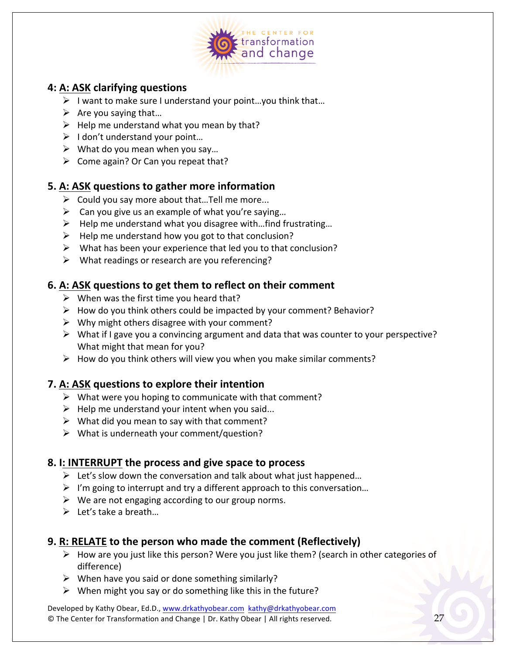

#### **4: A: ASK clarifying questions**

- $\triangleright$  I want to make sure I understand your point...you think that...
- $\triangleright$  Are you saying that...
- $\triangleright$  Help me understand what you mean by that?
- $\triangleright$  I don't understand your point...
- $\triangleright$  What do you mean when you say...
- $\triangleright$  Come again? Or Can you repeat that?

#### **5. A: ASK questions to gather more information**

- $\triangleright$  Could you say more about that... Tell me more...
- $\triangleright$  Can you give us an example of what you're saying...
- $\triangleright$  Help me understand what you disagree with...find frustrating...
- $\triangleright$  Help me understand how you got to that conclusion?
- $\triangleright$  What has been your experience that led you to that conclusion?
- $\triangleright$  What readings or research are you referencing?

#### **6. A: ASK** questions to get them to reflect on their comment

- $\triangleright$  When was the first time you heard that?
- $\triangleright$  How do you think others could be impacted by your comment? Behavior?
- $\triangleright$  Why might others disagree with your comment?
- $\triangleright$  What if I gave you a convincing argument and data that was counter to your perspective? What might that mean for you?
- $\triangleright$  How do you think others will view you when you make similar comments?

#### **7.** A: ASK questions to explore their intention

- $\triangleright$  What were you hoping to communicate with that comment?
- $\triangleright$  Help me understand your intent when you said...
- $\triangleright$  What did you mean to say with that comment?
- $\triangleright$  What is underneath your comment/question?

#### **8. I: INTERRUPT the process and give space to process**

- $\triangleright$  Let's slow down the conversation and talk about what just happened...
- $\triangleright$  I'm going to interrupt and try a different approach to this conversation...
- $\triangleright$  We are not engaging according to our group norms.
- $\triangleright$  Let's take a breath...

#### **9. R: RELATE to the person who made the comment (Reflectively)**

- $\triangleright$  How are you just like this person? Were you just like them? (search in other categories of difference)
- $\triangleright$  When have you said or done something similarly?
- $\triangleright$  When might you say or do something like this in the future?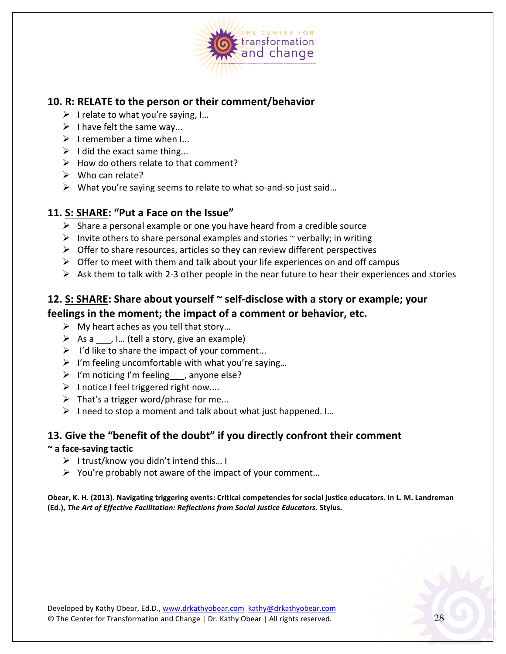

#### **10. R: RELATE to the person or their comment/behavior**

- $\triangleright$  I relate to what you're saying, I...
- $\triangleright$  I have felt the same way...
- $\triangleright$  I remember a time when I...
- $\triangleright$  I did the exact same thing...
- $\triangleright$  How do others relate to that comment?
- $\triangleright$  Who can relate?
- $\triangleright$  What you're saying seems to relate to what so-and-so just said...

#### 11. S: SHARE: "Put a Face on the Issue"

- $\triangleright$  Share a personal example or one you have heard from a credible source
- $\triangleright$  Invite others to share personal examples and stories  $\sim$  verbally; in writing
- $\triangleright$  Offer to share resources, articles so they can review different perspectives
- $\triangleright$  Offer to meet with them and talk about your life experiences on and off campus
- $\triangleright$  Ask them to talk with 2-3 other people in the near future to hear their experiences and stories

## **12. S: SHARE: Share about yourself**  $\sim$  **self-disclose with a story or example; your**

### **feelings in the moment; the impact of a comment or behavior, etc.**

- $\triangleright$  My heart aches as you tell that story...
- $\triangleright$  As a , I... (tell a story, give an example)
- $\triangleright$  I'd like to share the impact of your comment...
- $\triangleright$  I'm feeling uncomfortable with what you're saying...
- $\triangleright$  I'm noticing I'm feeling , anyone else?
- $\triangleright$  I notice I feel triggered right now....
- $\triangleright$  That's a trigger word/phrase for me...
- $\triangleright$  I need to stop a moment and talk about what just happened. I...

#### **13.** Give the "benefit of the doubt" if you directly confront their comment

#### **~ a face-saving tactic**

- $\triangleright$  I trust/know you didn't intend this... I
- $\triangleright$  You're probably not aware of the impact of your comment...

Obear, K. H. (2013). Navigating triggering events: Critical competencies for social justice educators. In L. M. Landreman **(Ed.),** *The Art of Effective Facilitation: Reflections from Social Justice Educators***. Stylus.**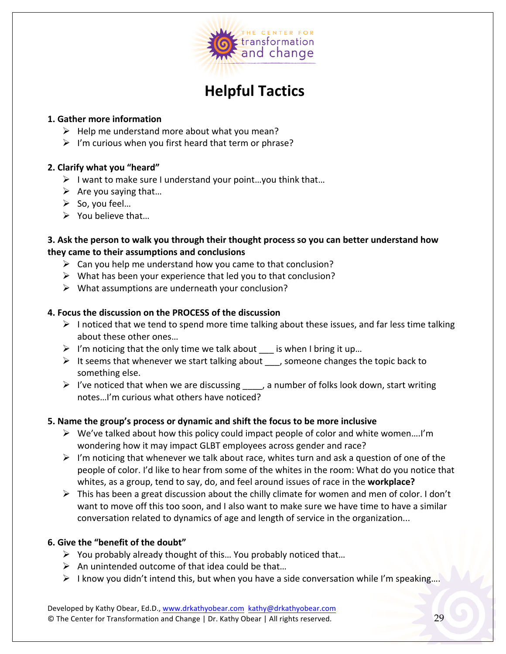

## **Helpful Tactics**

#### **1. Gather more information**

- $\triangleright$  Help me understand more about what you mean?
- $\triangleright$  I'm curious when you first heard that term or phrase?

#### **2. Clarify what you "heard"**

- $\triangleright$  I want to make sure I understand your point...you think that...
- $\triangleright$  Are you saying that...
- $\triangleright$  So, you feel...
- $\triangleright$  You believe that...

#### **3.** Ask the person to walk you through their thought process so you can better understand how **they came to their assumptions and conclusions**

- $\triangleright$  Can you help me understand how you came to that conclusion?
- $\triangleright$  What has been your experience that led you to that conclusion?
- $\triangleright$  What assumptions are underneath your conclusion?

#### **4. Focus the discussion on the PROCESS of the discussion**

- $\triangleright$  I noticed that we tend to spend more time talking about these issues, and far less time talking about these other ones...
- $\triangleright$  I'm noticing that the only time we talk about  $\equiv$  is when I bring it up...
- $\triangleright$  It seems that whenever we start talking about  $\preceq$ , someone changes the topic back to something else.
- $\triangleright$  I've noticed that when we are discussing \_\_\_\_, a number of folks look down, start writing notes...I'm curious what others have noticed?

#### **5.** Name the group's process or dynamic and shift the focus to be more inclusive

- $\triangleright$  We've talked about how this policy could impact people of color and white women....I'm wondering how it may impact GLBT employees across gender and race?
- $\triangleright$  I'm noticing that whenever we talk about race, whites turn and ask a question of one of the people of color. I'd like to hear from some of the whites in the room: What do you notice that whites, as a group, tend to say, do, and feel around issues of race in the workplace?
- $\triangleright$  This has been a great discussion about the chilly climate for women and men of color. I don't want to move off this too soon, and I also want to make sure we have time to have a similar conversation related to dynamics of age and length of service in the organization...

#### **6.** Give the "benefit of the doubt"

- $\triangleright$  You probably already thought of this... You probably noticed that...
- $\triangleright$  An unintended outcome of that idea could be that...
- $\triangleright$  I know you didn't intend this, but when you have a side conversation while I'm speaking....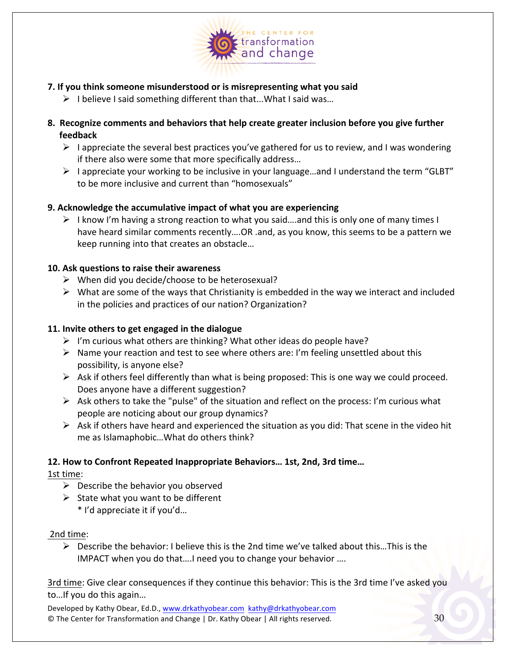

- **7.** If you think someone misunderstood or is misrepresenting what you said
	- $\triangleright$  I believe I said something different than that...What I said was...
- **8.** Recognize comments and behaviors that help create greater inclusion before you give further **feedback**
	- $\triangleright$  I appreciate the several best practices you've gathered for us to review, and I was wondering if there also were some that more specifically address...
	- $\triangleright$  I appreciate your working to be inclusive in your language...and I understand the term "GLBT" to be more inclusive and current than "homosexuals"

#### **9.** Acknowledge the accumulative impact of what you are experiencing

 $\triangleright$  I know I'm having a strong reaction to what you said....and this is only one of many times I have heard similar comments recently....OR .and, as you know, this seems to be a pattern we keep running into that creates an obstacle...

#### **10. Ask questions to raise their awareness**

- $\triangleright$  When did you decide/choose to be heterosexual?
- $\triangleright$  What are some of the ways that Christianity is embedded in the way we interact and included in the policies and practices of our nation? Organization?

#### **11.** Invite others to get engaged in the dialogue

- $\triangleright$  I'm curious what others are thinking? What other ideas do people have?
- $\triangleright$  Name your reaction and test to see where others are: I'm feeling unsettled about this possibility, is anyone else?
- $\triangleright$  Ask if others feel differently than what is being proposed: This is one way we could proceed. Does anyone have a different suggestion?
- $\triangleright$  Ask others to take the "pulse" of the situation and reflect on the process: I'm curious what people are noticing about our group dynamics?
- $\triangleright$  Ask if others have heard and experienced the situation as you did: That scene in the video hit me as Islamaphobic... What do others think?

#### **12. How to Confront Repeated Inappropriate Behaviors… 1st, 2nd, 3rd time…**

1st time:

- $\triangleright$  Describe the behavior you observed
- $\triangleright$  State what you want to be different
	- \* I'd appreciate it if you'd…

#### 2nd time:

 $\triangleright$  Describe the behavior: I believe this is the 2nd time we've talked about this...This is the IMPACT when you do that....I need you to change your behavior ....

3rd time: Give clear consequences if they continue this behavior: This is the 3rd time I've asked you to... If you do this again...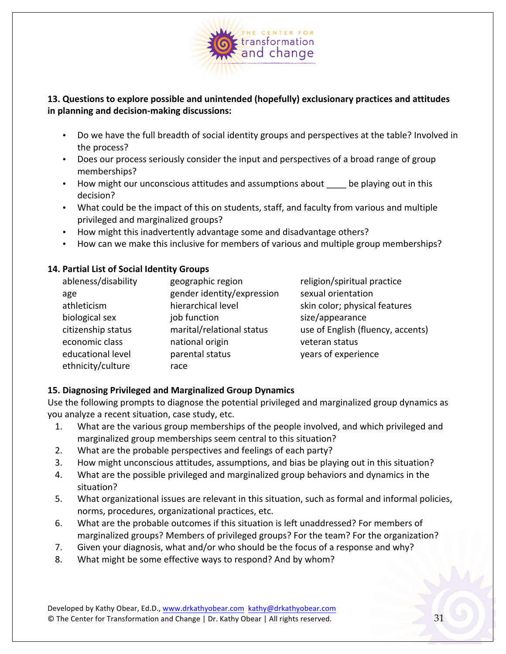

#### **13.** Questions to explore possible and unintended (hopefully) exclusionary practices and attitudes **in planning and decision-making discussions:**

- Do we have the full breadth of social identity groups and perspectives at the table? Involved in the process?
- Does our process seriously consider the input and perspectives of a broad range of group memberships?
- How might our unconscious attitudes and assumptions about be playing out in this decision?
- What could be the impact of this on students, staff, and faculty from various and multiple privileged and marginalized groups?
- How might this inadvertently advantage some and disadvantage others?
- How can we make this inclusive for members of various and multiple group memberships?

#### **14. Partial List of Social Identity Groups**

| ableness/disability | geographic region          | religion/spiritual practice       |
|---------------------|----------------------------|-----------------------------------|
| age                 | gender identity/expression | sexual orientation                |
| athleticism         | hierarchical level         | skin color; physical features     |
| biological sex      | job function               | size/appearance                   |
| citizenship status  | marital/relational status  | use of English (fluency, accents) |
| economic class      | national origin            | veteran status                    |
| educational level   | parental status            | years of experience               |
| ethnicity/culture   | race                       |                                   |

#### **15. Diagnosing Privileged and Marginalized Group Dynamics**

Use the following prompts to diagnose the potential privileged and marginalized group dynamics as you analyze a recent situation, case study, etc.

- 1. What are the various group memberships of the people involved, and which privileged and marginalized group memberships seem central to this situation?
- 2. What are the probable perspectives and feelings of each party?
- 3. How might unconscious attitudes, assumptions, and bias be playing out in this situation?
- 4. What are the possible privileged and marginalized group behaviors and dynamics in the situation?
- 5. What organizational issues are relevant in this situation, such as formal and informal policies, norms, procedures, organizational practices, etc.
- 6. What are the probable outcomes if this situation is left unaddressed? For members of marginalized groups? Members of privileged groups? For the team? For the organization?
- 7. Given your diagnosis, what and/or who should be the focus of a response and why?
- 8. What might be some effective ways to respond? And by whom?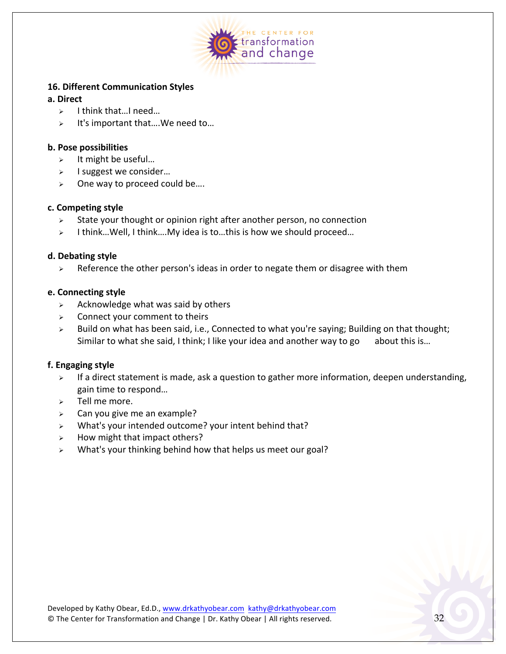

#### **16. Different Communication Styles**

#### **a. Direct**

- $\geq$  I think that...I need...
- $\triangleright$  It's important that.... We need to...

#### **b. Pose possibilities**

- $\triangleright$  It might be useful...
- $\geq$  I suggest we consider...
- $\geq$  One way to proceed could be....

#### **c. Competing style**

- $\triangleright$  State your thought or opinion right after another person, no connection
- $\geq$  I think... Well, I think.... My idea is to... this is how we should proceed...

#### **d. Debating style**

 $\triangleright$  Reference the other person's ideas in order to negate them or disagree with them

#### **e. Connecting style**

- $\triangleright$  Acknowledge what was said by others
- $\geq$  Connect your comment to theirs
- > Build on what has been said, i.e., Connected to what you're saying; Building on that thought; Similar to what she said, I think; I like your idea and another way to go about this is...

#### **f. Engaging style**

- $\triangleright$  If a direct statement is made, ask a question to gather more information, deepen understanding, gain time to respond...
- $\ge$  Tell me more.
- $\geq$  Can you give me an example?
- $\triangleright$  What's your intended outcome? your intent behind that?
- $\triangleright$  How might that impact others?
- $\triangleright$  What's your thinking behind how that helps us meet our goal?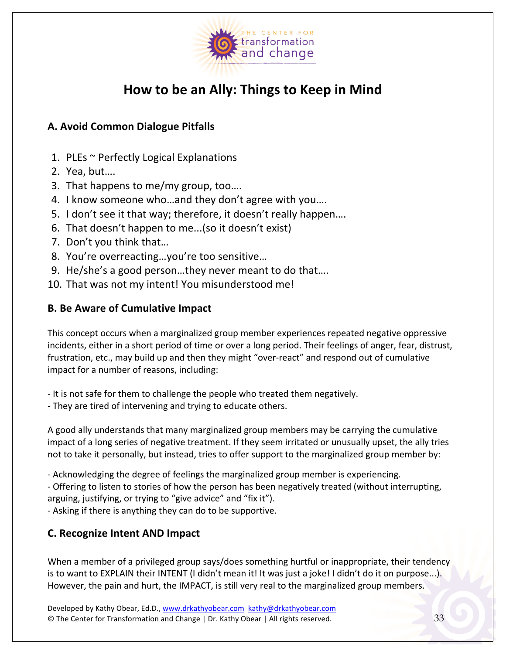

## **How to be an Ally: Things to Keep in Mind**

#### **A. Avoid Common Dialogue Pitfalls**

- 1. PLEs  $\sim$  Perfectly Logical Explanations
- 2. Yea, but....
- 3. That happens to me/my group, too....
- 4. I know someone who...and they don't agree with you....
- 5. I don't see it that way; therefore, it doesn't really happen....
- 6. That doesn't happen to me...(so it doesn't exist)
- 7. Don't you think that...
- 8. You're overreacting...you're too sensitive...
- 9. He/she's a good person...they never meant to do that....
- 10. That was not my intent! You misunderstood me!

#### **B. Be Aware of Cumulative Impact**

This concept occurs when a marginalized group member experiences repeated negative oppressive incidents, either in a short period of time or over a long period. Their feelings of anger, fear, distrust, frustration, etc., may build up and then they might "over-react" and respond out of cumulative impact for a number of reasons, including:

- It is not safe for them to challenge the people who treated them negatively.
- They are tired of intervening and trying to educate others.

A good ally understands that many marginalized group members may be carrying the cumulative impact of a long series of negative treatment. If they seem irritated or unusually upset, the ally tries not to take it personally, but instead, tries to offer support to the marginalized group member by:

- Acknowledging the degree of feelings the marginalized group member is experiencing.

- Offering to listen to stories of how the person has been negatively treated (without interrupting, arguing, justifying, or trying to "give advice" and "fix it").

- Asking if there is anything they can do to be supportive.

#### **C. Recognize Intent AND Impact**

When a member of a privileged group says/does something hurtful or inappropriate, their tendency is to want to EXPLAIN their INTENT (I didn't mean it! It was just a joke! I didn't do it on purpose...). However, the pain and hurt, the IMPACT, is still very real to the marginalized group members.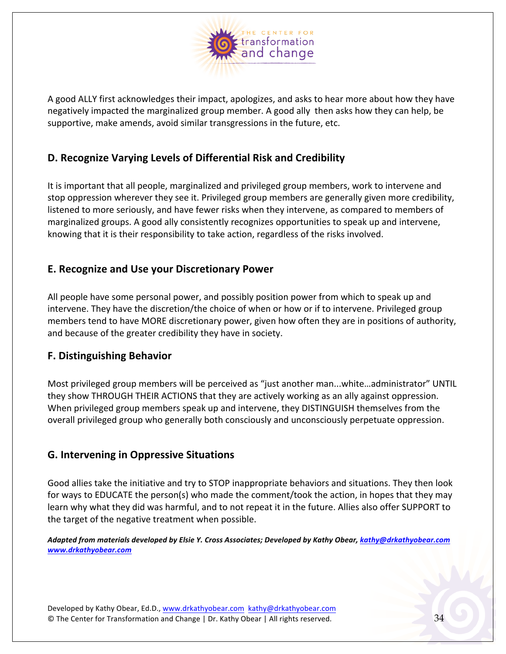

A good ALLY first acknowledges their impact, apologizes, and asks to hear more about how they have negatively impacted the marginalized group member. A good ally then asks how they can help, be supportive, make amends, avoid similar transgressions in the future, etc.

#### **D. Recognize Varying Levels of Differential Risk and Credibility**

It is important that all people, marginalized and privileged group members, work to intervene and stop oppression wherever they see it. Privileged group members are generally given more credibility, listened to more seriously, and have fewer risks when they intervene, as compared to members of marginalized groups. A good ally consistently recognizes opportunities to speak up and intervene, knowing that it is their responsibility to take action, regardless of the risks involved.

#### **E. Recognize and Use your Discretionary Power**

All people have some personal power, and possibly position power from which to speak up and intervene. They have the discretion/the choice of when or how or if to intervene. Privileged group members tend to have MORE discretionary power, given how often they are in positions of authority, and because of the greater credibility they have in society.

#### **F. Distinguishing Behavior**

Most privileged group members will be perceived as "just another man...white...administrator" UNTIL they show THROUGH THEIR ACTIONS that they are actively working as an ally against oppression. When privileged group members speak up and intervene, they DISTINGUISH themselves from the overall privileged group who generally both consciously and unconsciously perpetuate oppression.

#### **G. Intervening in Oppressive Situations**

Good allies take the initiative and try to STOP inappropriate behaviors and situations. They then look for ways to EDUCATE the person(s) who made the comment/took the action, in hopes that they may learn why what they did was harmful, and to not repeat it in the future. Allies also offer SUPPORT to the target of the negative treatment when possible.

*Adapted from materials developed by Elsie Y. Cross Associates; Developed by Kathy Obear, kathy@drkathyobear.com www.drkathyobear.com*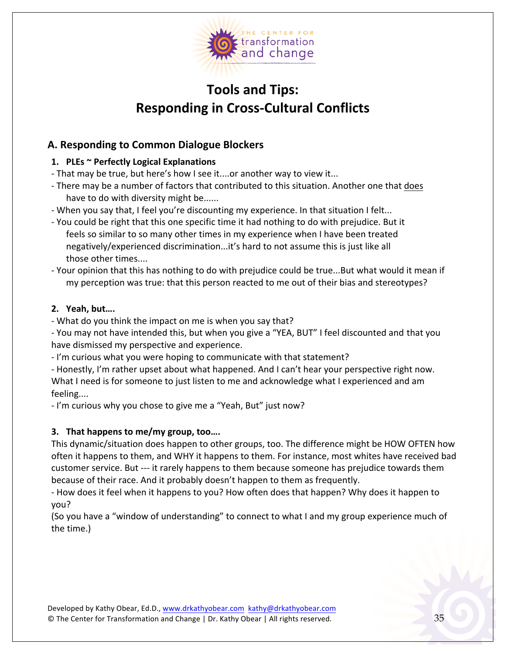

## **Tools and Tips: Responding in Cross-Cultural Conflicts**

#### **A. Responding to Common Dialogue Blockers**

#### 1. **PLEs** ~ Perfectly Logical Explanations

- That may be true, but here's how I see it....or another way to view it...

- There may be a number of factors that contributed to this situation. Another one that does have to do with diversity might be......
- When you say that, I feel you're discounting my experience. In that situation I felt...
- You could be right that this one specific time it had nothing to do with prejudice. But it feels so similar to so many other times in my experience when I have been treated negatively/experienced discrimination...it's hard to not assume this is just like all those other times....
- Your opinion that this has nothing to do with prejudice could be true...But what would it mean if my perception was true: that this person reacted to me out of their bias and stereotypes?

#### **2. Yeah, but….**

- What do you think the impact on me is when you say that?

- You may not have intended this, but when you give a "YEA, BUT" I feel discounted and that you have dismissed my perspective and experience.

- I'm curious what you were hoping to communicate with that statement?

- Honestly, I'm rather upset about what happened. And I can't hear your perspective right now. What I need is for someone to just listen to me and acknowledge what I experienced and am feeling....

- I'm curious why you chose to give me a "Yeah, But" just now?

#### **3.** That happens to me/my group, too....

This dynamic/situation does happen to other groups, too. The difference might be HOW OFTEN how often it happens to them, and WHY it happens to them. For instance, most whites have received bad customer service. But --- it rarely happens to them because someone has prejudice towards them because of their race. And it probably doesn't happen to them as frequently.

- How does it feel when it happens to you? How often does that happen? Why does it happen to you? 

(So you have a "window of understanding" to connect to what I and my group experience much of the time.)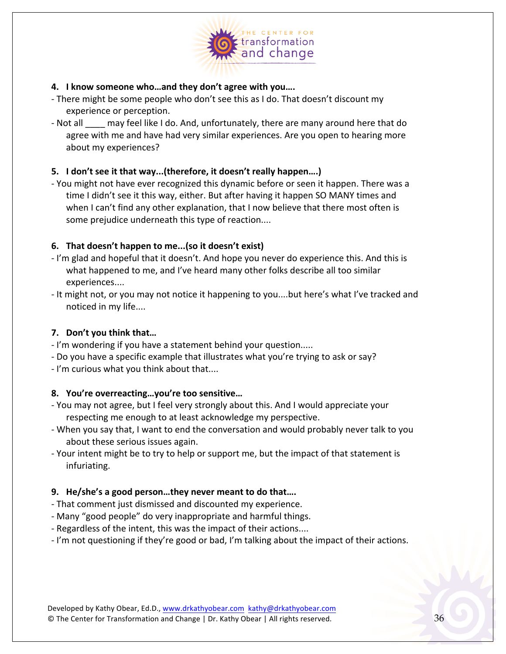

#### **4. I know someone who…and they don't agree with you….**

- There might be some people who don't see this as I do. That doesn't discount my experience or perception.
- Not all may feel like I do. And, unfortunately, there are many around here that do agree with me and have had very similar experiences. Are you open to hearing more about my experiences?

#### **5. I** don't see it that way...(therefore, it doesn't really happen....)

- You might not have ever recognized this dynamic before or seen it happen. There was a time I didn't see it this way, either. But after having it happen SO MANY times and when I can't find any other explanation, that I now believe that there most often is some prejudice underneath this type of reaction....

#### **6.** That doesn't happen to me...(so it doesn't exist)

- I'm glad and hopeful that it doesn't. And hope you never do experience this. And this is what happened to me, and I've heard many other folks describe all too similar experiences....
- It might not, or you may not notice it happening to you....but here's what I've tracked and noticed in my life....

#### **7. Don't you think that…**

- I'm wondering if you have a statement behind your question.....
- Do you have a specific example that illustrates what you're trying to ask or say?
- I'm curious what you think about that....

#### **8.** You're overreacting...you're too sensitive...

- You may not agree, but I feel very strongly about this. And I would appreciate your respecting me enough to at least acknowledge my perspective.
- When you say that, I want to end the conversation and would probably never talk to you about these serious issues again.
- Your intent might be to try to help or support me, but the impact of that statement is infuriating.

#### **9.** He/she's a good person...they never meant to do that....

- That comment just dismissed and discounted my experience.
- Many "good people" do very inappropriate and harmful things.
- Regardless of the intent, this was the impact of their actions....
- I'm not questioning if they're good or bad, I'm talking about the impact of their actions.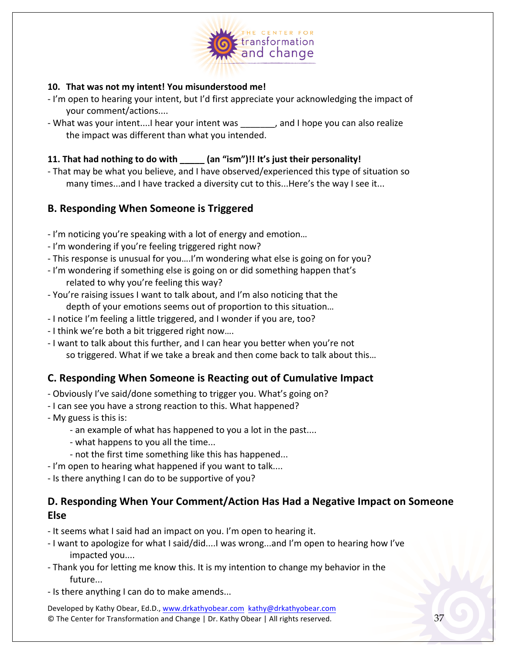

#### **10.** That was not my intent! You misunderstood me!

- I'm open to hearing your intent, but I'd first appreciate your acknowledging the impact of your comment/actions....
- What was your intent....I hear your intent was example hope you can also realize the impact was different than what you intended.

#### **11.** That had nothing to do with (an "ism")!! It's just their personality!

- That may be what you believe, and I have observed/experienced this type of situation so many times...and I have tracked a diversity cut to this...Here's the way I see it...

#### **B. Responding When Someone is Triggered**

- I'm noticing you're speaking with a lot of energy and emotion...
- I'm wondering if you're feeling triggered right now?
- This response is unusual for you....I'm wondering what else is going on for you?
- I'm wondering if something else is going on or did something happen that's related to why you're feeling this way?
- You're raising issues I want to talk about, and I'm also noticing that the depth of your emotions seems out of proportion to this situation...
- I notice I'm feeling a little triggered, and I wonder if you are, too?
- I think we're both a bit triggered right now....
- I want to talk about this further, and I can hear you better when you're not so triggered. What if we take a break and then come back to talk about this...

#### **C. Responding When Someone is Reacting out of Cumulative Impact**

- Obviously I've said/done something to trigger you. What's going on?
- I can see you have a strong reaction to this. What happened?
- My guess is this is:
	- an example of what has happened to you a lot in the past....
	- what happens to you all the time...
	- not the first time something like this has happened...
- I'm open to hearing what happened if you want to talk....
- Is there anything I can do to be supportive of you?

#### **D.** Responding When Your Comment/Action Has Had a Negative Impact on Someone **Else**

- It seems what I said had an impact on you. I'm open to hearing it.
- I want to apologize for what I said/did....I was wrong...and I'm open to hearing how I've impacted you....
- Thank you for letting me know this. It is my intention to change my behavior in the future...
- Is there anything I can do to make amends...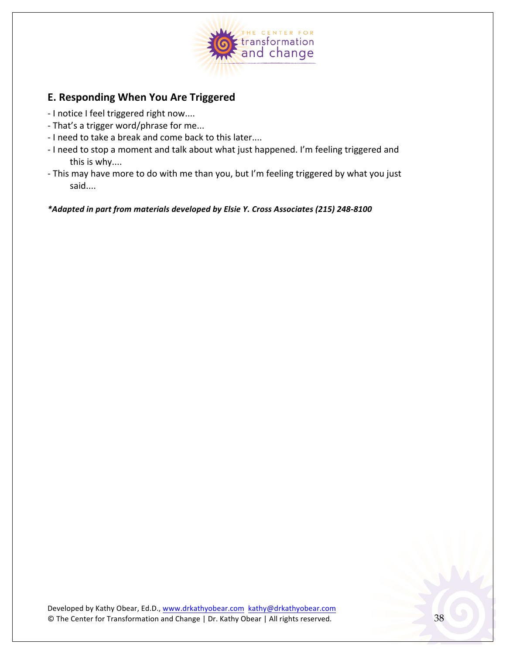

#### **E. Responding When You Are Triggered**

- I notice I feel triggered right now....
- That's a trigger word/phrase for me...
- I need to take a break and come back to this later....
- I need to stop a moment and talk about what just happened. I'm feeling triggered and this is why....
- This may have more to do with me than you, but I'm feeling triggered by what you just said....

\*Adapted in part from materials developed by Elsie Y. Cross Associates (215) 248-8100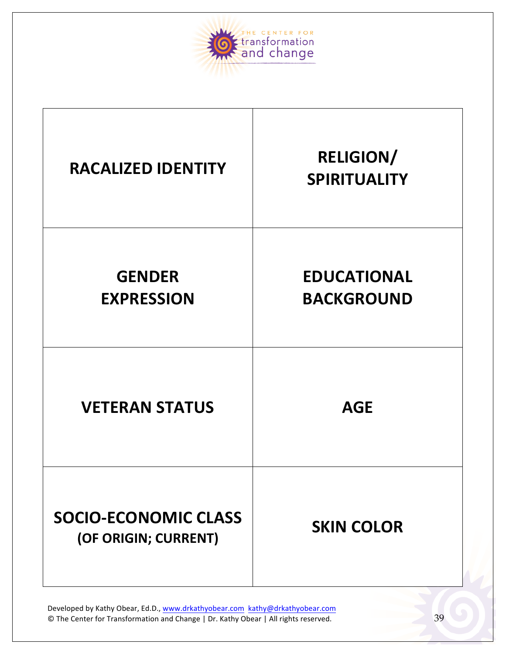

| <b>RACALIZED IDENTITY</b>                           | <b>RELIGION/</b><br><b>SPIRITUALITY</b> |
|-----------------------------------------------------|-----------------------------------------|
| <b>GENDER</b><br><b>EXPRESSION</b>                  | <b>EDUCATIONAL</b><br><b>BACKGROUND</b> |
| <b>VETERAN STATUS</b>                               | <b>AGE</b>                              |
| <b>SOCIO-ECONOMIC CLASS</b><br>(OF ORIGIN; CURRENT) | <b>SKIN COLOR</b>                       |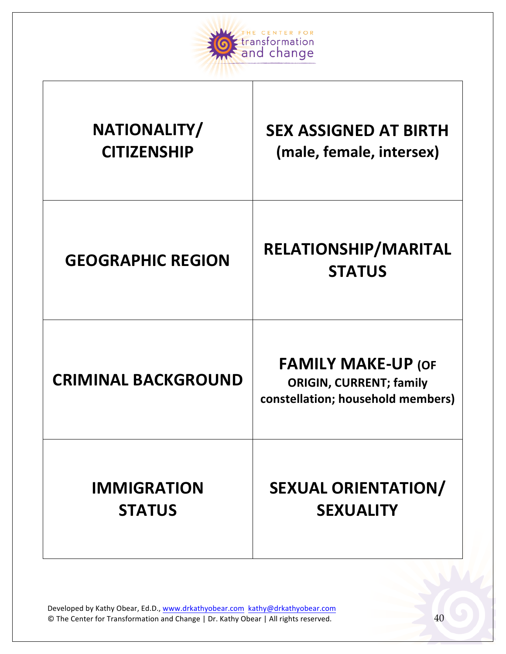

 $\perp$ 

| NATIONALITY/               | <b>SEX ASSIGNED AT BIRTH</b>                                                                     |
|----------------------------|--------------------------------------------------------------------------------------------------|
| <b>CITIZENSHIP</b>         | (male, female, intersex)                                                                         |
| <b>GEOGRAPHIC REGION</b>   | RELATIONSHIP/MARITAL<br><b>STATUS</b>                                                            |
| <b>CRIMINAL BACKGROUND</b> | <b>FAMILY MAKE-UP (OF</b><br><b>ORIGIN, CURRENT; family</b><br>constellation; household members) |
| <b>IMMIGRATION</b>         | <b>SEXUAL ORIENTATION/</b>                                                                       |
| <b>STATUS</b>              | <b>SEXUALITY</b>                                                                                 |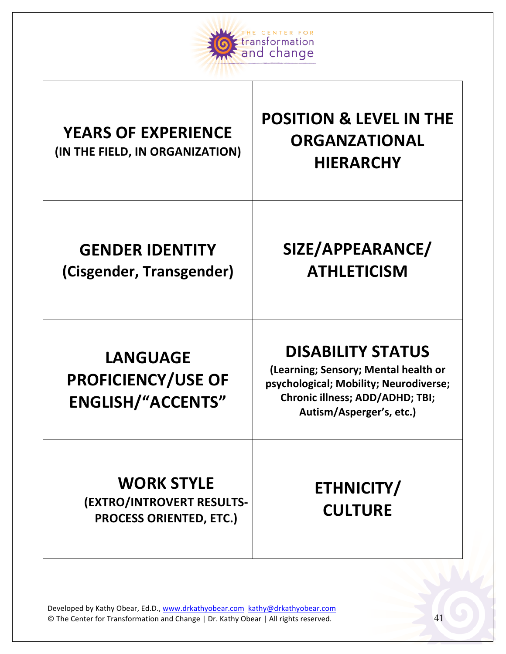

# YEARS OF EXPERIENCE

## **(IN THE FIELD, IN ORGANIZATION)**

## **POSITION & LEVEL IN THE ORGANZATIONAL HIERARCHY**

## **GENDER IDENTITY (Cisgender, Transgender)**

## **SIZE/APPEARANCE/ ATHLETICISM**

## **LANGUAGE PROFICIENCY/USE OF ENGLISH/"ACCENTS"**

## **DISABILITY STATUS**

**(Learning; Sensory; Mental health or** psychological; Mobility; Neurodiverse; **Chronic illness; ADD/ADHD; TBI;** Autism/Asperger's, etc.)

## **WORK STYLE (EXTRO/INTROVERT RESULTS-PROCESS ORIENTED, ETC.)**

## **ETHNICITY/ CULTURE**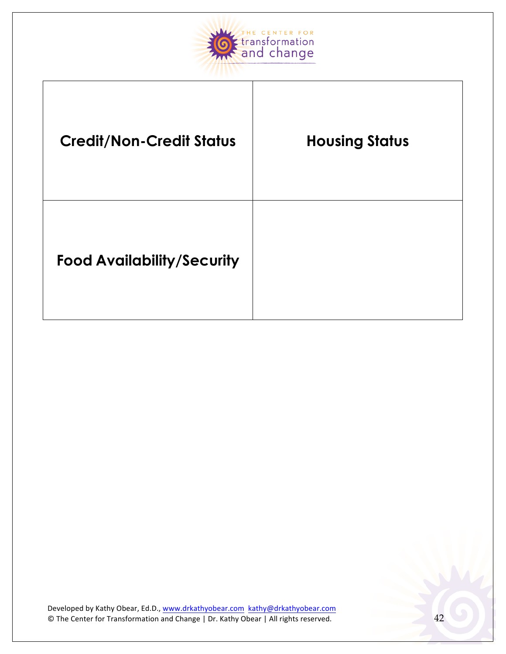

| <b>Credit/Non-Credit Status</b>   | <b>Housing Status</b> |
|-----------------------------------|-----------------------|
| <b>Food Availability/Security</b> |                       |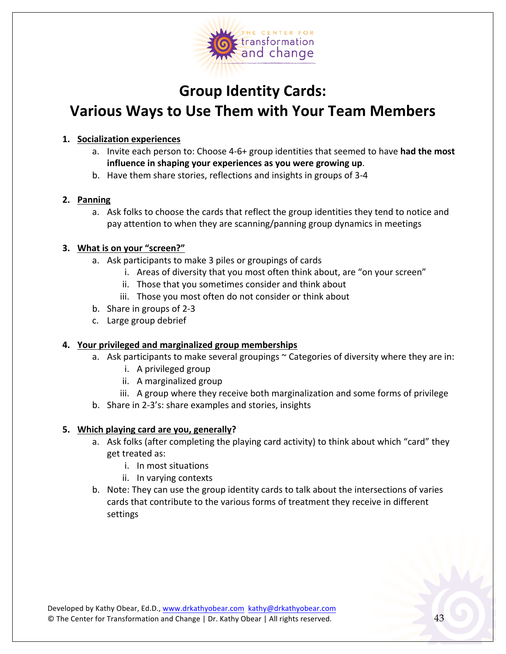

## **Group Identity Cards: Various Ways to Use Them with Your Team Members**

#### **1. Socialization experiences**

- a. Invite each person to: Choose 4-6+ group identities that seemed to have had the most influence in shaping your experiences as you were growing up.
- b. Have them share stories, reflections and insights in groups of 3-4

#### **2. Panning**

a. Ask folks to choose the cards that reflect the group identities they tend to notice and pay attention to when they are scanning/panning group dynamics in meetings

#### **3.** What is on your "screen?"

- a. Ask participants to make 3 piles or groupings of cards
	- i. Areas of diversity that you most often think about, are "on your screen"
	- ii. Those that you sometimes consider and think about
	- iii. Those you most often do not consider or think about
- b. Share in groups of 2-3
- c. Large group debrief

#### **4. Your privileged and marginalized group memberships**

- a. Ask participants to make several groupings ~ Categories of diversity where they are in:
	- i. A privileged group
	- ii. A marginalized group
	- iii. A group where they receive both marginalization and some forms of privilege
- b. Share in 2-3's: share examples and stories, insights

#### **5.** Which playing card are you, generally?

- a. Ask folks (after completing the playing card activity) to think about which "card" they get treated as:
	- i. In most situations
	- ii. In varying contexts
- b. Note: They can use the group identity cards to talk about the intersections of varies cards that contribute to the various forms of treatment they receive in different settings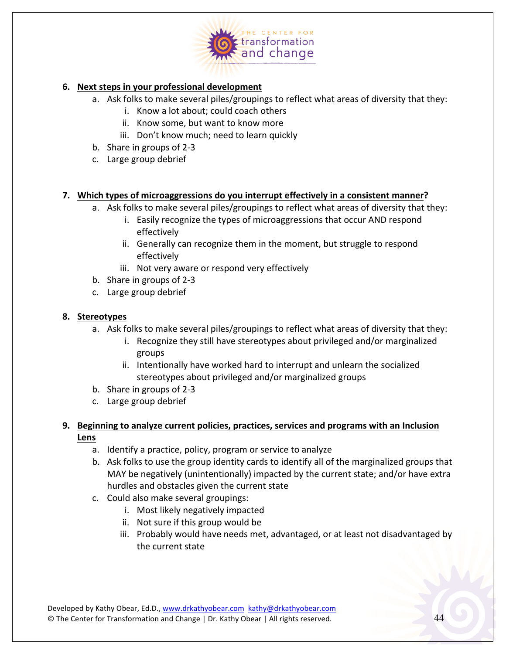

#### **6. Next steps in your professional development**

- a. Ask folks to make several piles/groupings to reflect what areas of diversity that they:
	- i. Know a lot about; could coach others
	- ii. Know some, but want to know more
	- iii. Don't know much; need to learn quickly
- b. Share in groups of  $2-3$
- c. Large group debrief

#### **7.** Which types of microaggressions do you interrupt effectively in a consistent manner?

- a. Ask folks to make several piles/groupings to reflect what areas of diversity that they:
	- i. Easily recognize the types of microaggressions that occur AND respond effectively
	- ii. Generally can recognize them in the moment, but struggle to respond effectively
	- iii. Not very aware or respond very effectively
- b. Share in groups of  $2-3$
- c. Large group debrief

#### **8. Stereotypes**

- a. Ask folks to make several piles/groupings to reflect what areas of diversity that they:
	- i. Recognize they still have stereotypes about privileged and/or marginalized groups
	- ii. Intentionally have worked hard to interrupt and unlearn the socialized stereotypes about privileged and/or marginalized groups
- b. Share in groups of  $2-3$
- c. Large group debrief

#### **9.** Beginning to analyze current policies, practices, services and programs with an Inclusion **Lens**

- a. Identify a practice, policy, program or service to analyze
- b. Ask folks to use the group identity cards to identify all of the marginalized groups that MAY be negatively (unintentionally) impacted by the current state; and/or have extra hurdles and obstacles given the current state
- c. Could also make several groupings:
	- i. Most likely negatively impacted
	- ii. Not sure if this group would be
	- iii. Probably would have needs met, advantaged, or at least not disadvantaged by the current state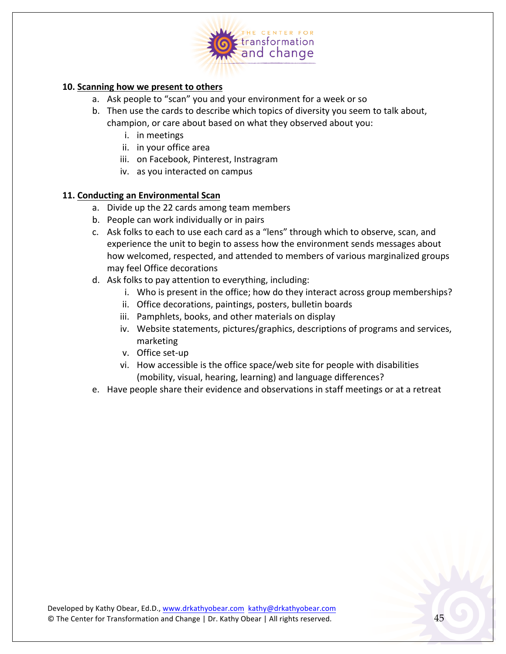

#### **10.** Scanning how we present to others

- a. Ask people to "scan" you and your environment for a week or so
- b. Then use the cards to describe which topics of diversity you seem to talk about, champion, or care about based on what they observed about you:
	- i. in meetings
	- ii. in your office area
	- iii. on Facebook, Pinterest, Instragram
	- iv. as you interacted on campus

#### **11. Conducting an Environmental Scan**

- a. Divide up the 22 cards among team members
- b. People can work individually or in pairs
- c. Ask folks to each to use each card as a "lens" through which to observe, scan, and experience the unit to begin to assess how the environment sends messages about how welcomed, respected, and attended to members of various marginalized groups may feel Office decorations
- d. Ask folks to pay attention to everything, including:
	- i. Who is present in the office; how do they interact across group memberships?
	- ii. Office decorations, paintings, posters, bulletin boards
	- iii. Pamphlets, books, and other materials on display
	- iv. Website statements, pictures/graphics, descriptions of programs and services, marketing
	- v. Office set-up
	- vi. How accessible is the office space/web site for people with disabilities (mobility, visual, hearing, learning) and language differences?
- e. Have people share their evidence and observations in staff meetings or at a retreat